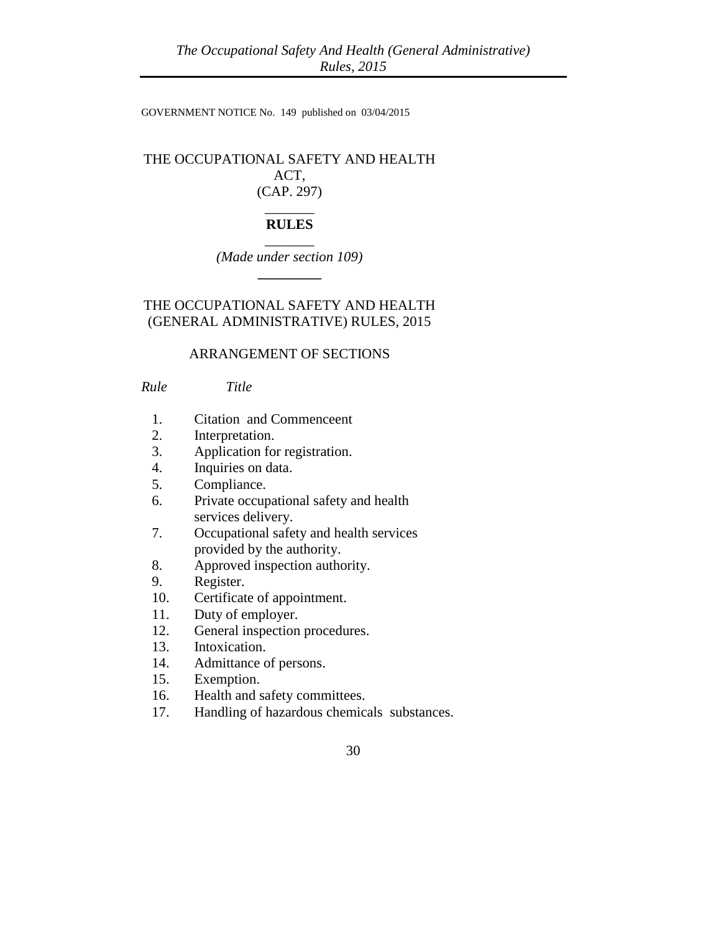GOVERNMENT NOTICE No. 149 published on 03/04/2015

# THE OCCUPATIONAL SAFETY AND HEALTH ACT, (CAP. 297)

## \_\_\_\_\_\_\_ **RULES**

 $\overline{\phantom{a}}$ *(Made under section 109)* **\_\_\_\_\_\_\_\_\_**

THE OCCUPATIONAL SAFETY AND HEALTH (GENERAL ADMINISTRATIVE) RULES, 2015

## ARRANGEMENT OF SECTIONS

*Rule Title*

- 1. Citation and Commenceent
- 2. Interpretation.
- 3. Application for registration.
- 4. Inquiries on data.
- 5. Compliance.
- 6. Private occupational safety and health services delivery.
- 7. Occupational safety and health services provided by the authority.
- 8. Approved inspection authority.
- 9. Register.
- 10. Certificate of appointment.
- 11. Duty of employer.
- 12. General inspection procedures.
- 13. Intoxication.
- 14. Admittance of persons.
- 15. Exemption.
- 16. Health and safety committees.
- 17. Handling of hazardous chemicals substances.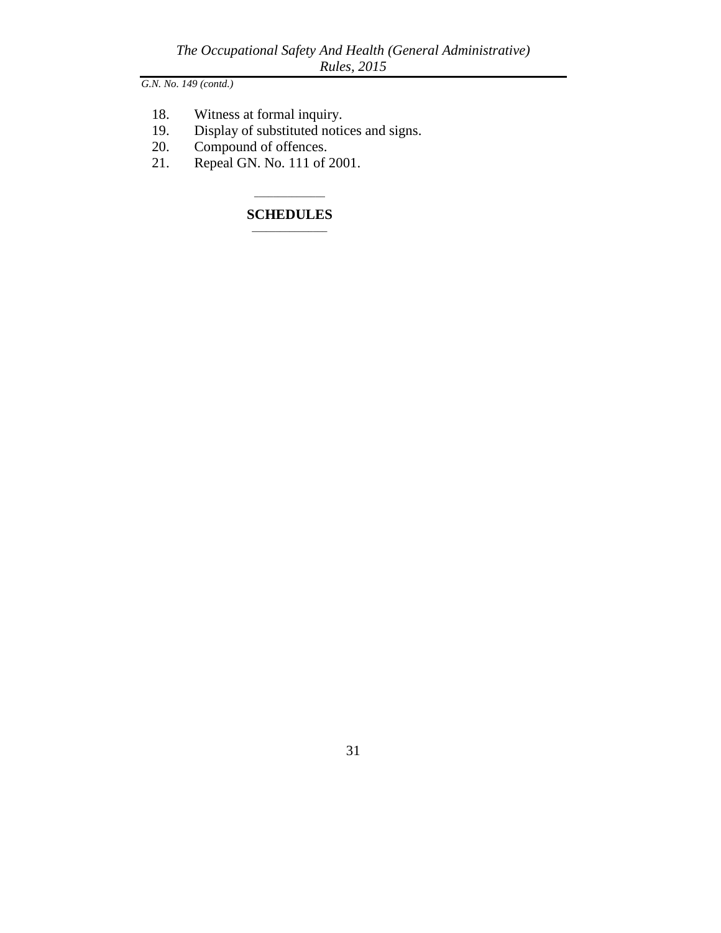- 18. Witness at formal inquiry.<br>19. Display of substituted notic
- 19. Display of substituted notices and signs.<br>20. Compound of offences.
- Compound of offences.
- 21. Repeal GN. No. 111 of 2001.

## \_\_\_\_\_\_\_\_\_\_\_\_\_\_\_ **SCHEDULES**  $\overline{\phantom{a}}$  , where  $\overline{\phantom{a}}$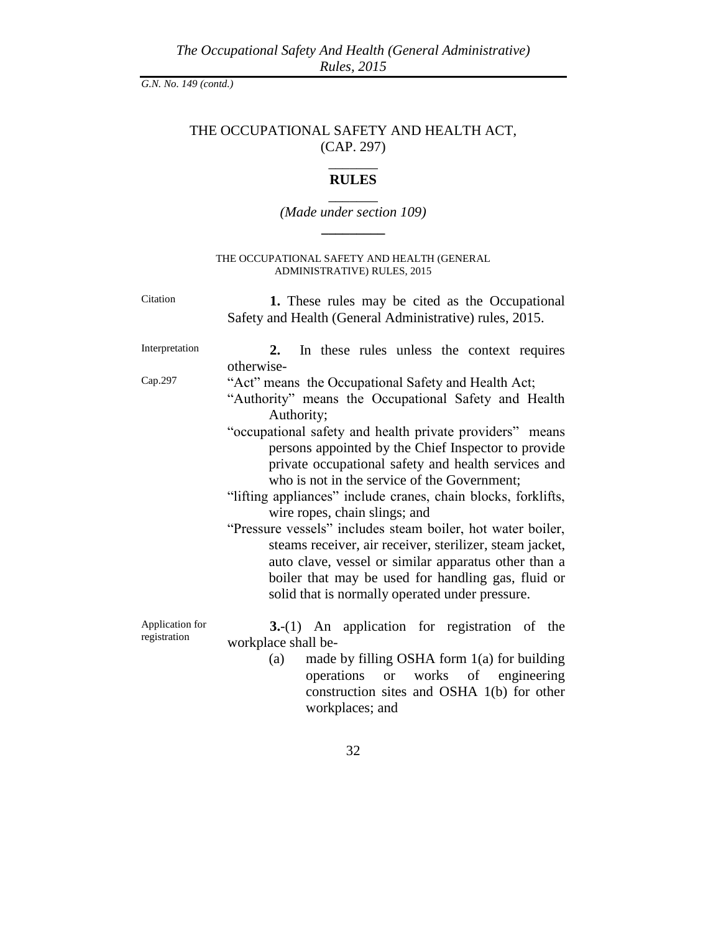*The Occupational Safety And Health (General Administrative) Rules, 2015*

*G.N. No. 149 (contd.)*

# THE OCCUPATIONAL SAFETY AND HEALTH ACT, (CAP. 297)

# \_\_\_\_\_\_\_ **RULES** \_\_\_\_\_\_\_

# *(Made under section 109)* **\_\_\_\_\_\_\_\_\_**

#### THE OCCUPATIONAL SAFETY AND HEALTH (GENERAL ADMINISTRATIVE) RULES, 2015

Citation **1.** These rules may be cited as the Occupational Safety and Health (General Administrative) rules, 2015. Interpretation **2.** In these rules unless the context requires otherwise-Cap.297 "Act" means the Occupational Safety and Health Act; "Authority" means the Occupational Safety and Health Authority; "occupational safety and health private providers" means persons appointed by the Chief Inspector to provide private occupational safety and health services and who is not in the service of the Government; "lifting appliances" include cranes, chain blocks, forklifts, wire ropes, chain slings; and "Pressure vessels" includes steam boiler, hot water boiler, steams receiver, air receiver, sterilizer, steam jacket, auto clave, vessel or similar apparatus other than a boiler that may be used for handling gas, fluid or solid that is normally operated under pressure. Application for registration **3.**-(1) An application for registration of the workplace shall be- (a) made by filling OSHA form 1(a) for building

operations or works of engineering construction sites and OSHA 1(b) for other workplaces; and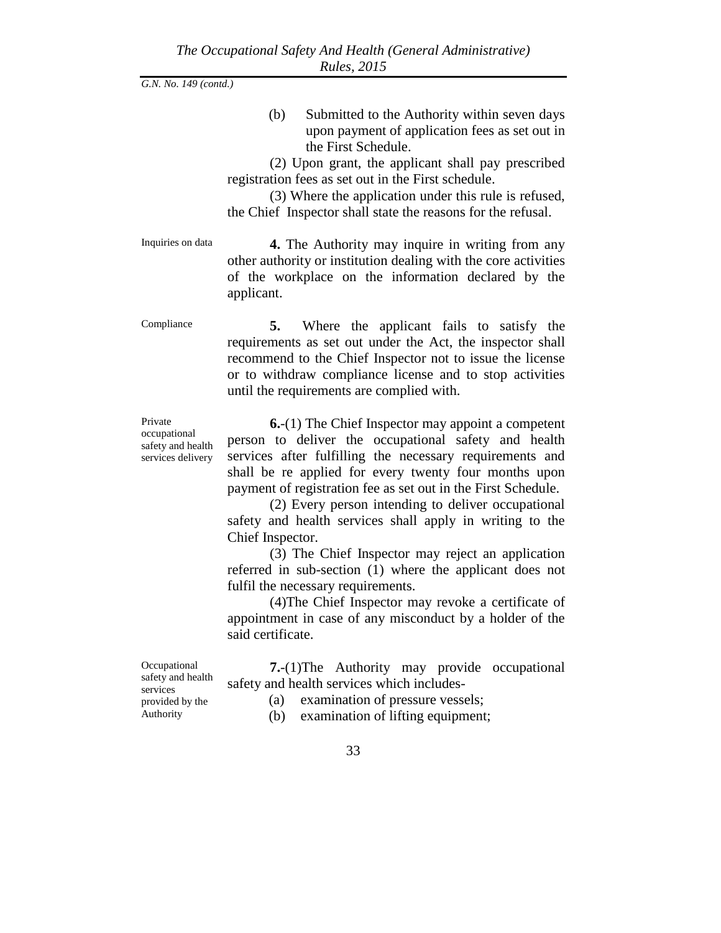(b) Submitted to the Authority within seven days upon payment of application fees as set out in the First Schedule.

(2) Upon grant, the applicant shall pay prescribed registration fees as set out in the First schedule.

(3) Where the application under this rule is refused, the Chief Inspector shall state the reasons for the refusal.

Inquiries on data **4.** The Authority may inquire in writing from any other authority or institution dealing with the core activities of the workplace on the information declared by the applicant.

Compliance **5.** Where the applicant fails to satisfy the requirements as set out under the Act, the inspector shall recommend to the Chief Inspector not to issue the license or to withdraw compliance license and to stop activities until the requirements are complied with.

Private occupational safety and health services delivery

**6.**-(1) The Chief Inspector may appoint a competent person to deliver the occupational safety and health services after fulfilling the necessary requirements and shall be re applied for every twenty four months upon payment of registration fee as set out in the First Schedule.

(2) Every person intending to deliver occupational safety and health services shall apply in writing to the Chief Inspector.

(3) The Chief Inspector may reject an application referred in sub-section (1) where the applicant does not fulfil the necessary requirements.

(4)The Chief Inspector may revoke a certificate of appointment in case of any misconduct by a holder of the said certificate.

**Occupational** safety and health services provided by the Authority

**7.**-(1)The Authority may provide occupational safety and health services which includes-

(a) examination of pressure vessels;

(b) examination of lifting equipment;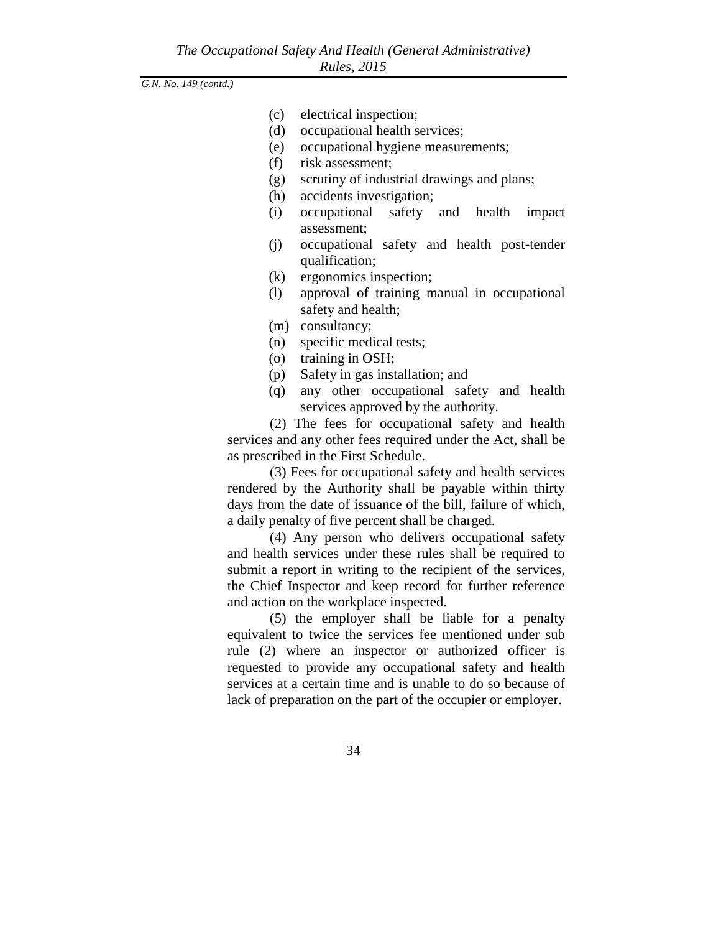- (c) electrical inspection;
- (d) occupational health services;
- (e) occupational hygiene measurements;
- (f) risk assessment;
- (g) scrutiny of industrial drawings and plans;
- (h) accidents investigation;
- (i) occupational safety and health impact assessment;
- (j) occupational safety and health post-tender qualification;
- (k) ergonomics inspection;
- (l) approval of training manual in occupational safety and health;
- (m) consultancy;
- (n) specific medical tests;
- (o) training in OSH;
- (p) Safety in gas installation; and
- (q) any other occupational safety and health services approved by the authority.

(2) The fees for occupational safety and health services and any other fees required under the Act, shall be as prescribed in the First Schedule.

(3) Fees for occupational safety and health services rendered by the Authority shall be payable within thirty days from the date of issuance of the bill, failure of which, a daily penalty of five percent shall be charged.

(4) Any person who delivers occupational safety and health services under these rules shall be required to submit a report in writing to the recipient of the services, the Chief Inspector and keep record for further reference and action on the workplace inspected.

(5) the employer shall be liable for a penalty equivalent to twice the services fee mentioned under sub rule (2) where an inspector or authorized officer is requested to provide any occupational safety and health services at a certain time and is unable to do so because of lack of preparation on the part of the occupier or employer.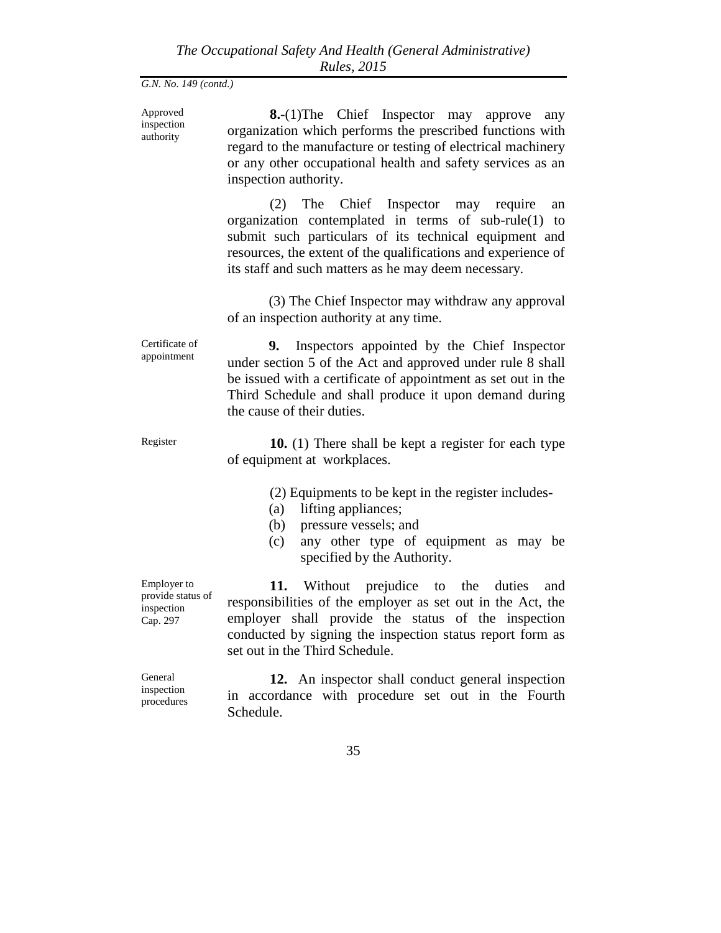| Approved<br>inspection<br>authority                        | <b>8.</b> -(1)The Chief Inspector may approve<br>any<br>organization which performs the prescribed functions with<br>regard to the manufacture or testing of electrical machinery<br>or any other occupational health and safety services as an<br>inspection authority.                  |
|------------------------------------------------------------|-------------------------------------------------------------------------------------------------------------------------------------------------------------------------------------------------------------------------------------------------------------------------------------------|
|                                                            | The Chief Inspector may require<br>(2)<br>an<br>organization contemplated in terms of $sub-rule(1)$ to<br>submit such particulars of its technical equipment and<br>resources, the extent of the qualifications and experience of<br>its staff and such matters as he may deem necessary. |
|                                                            | (3) The Chief Inspector may withdraw any approval<br>of an inspection authority at any time.                                                                                                                                                                                              |
| Certificate of<br>appointment                              | Inspectors appointed by the Chief Inspector<br>9.<br>under section 5 of the Act and approved under rule 8 shall<br>be issued with a certificate of appointment as set out in the<br>Third Schedule and shall produce it upon demand during<br>the cause of their duties.                  |
| Register                                                   | 10. (1) There shall be kept a register for each type<br>of equipment at workplaces.                                                                                                                                                                                                       |
|                                                            | (2) Equipments to be kept in the register includes-<br>lifting appliances;<br>(a)<br>pressure vessels; and<br>(b)<br>any other type of equipment as may be<br>(c)<br>specified by the Authority.                                                                                          |
| Employer to<br>provide status of<br>inspection<br>Cap. 297 | 11. Without prejudice to the duties<br>and<br>responsibilities of the employer as set out in the Act, the<br>employer shall provide the status of the inspection                                                                                                                          |
|                                                            | conducted by signing the inspection status report form as<br>set out in the Third Schedule.                                                                                                                                                                                               |
| General<br>inspection<br>procedures                        | 12. An inspector shall conduct general inspection<br>in accordance with procedure set out in the Fourth<br>Schedule.                                                                                                                                                                      |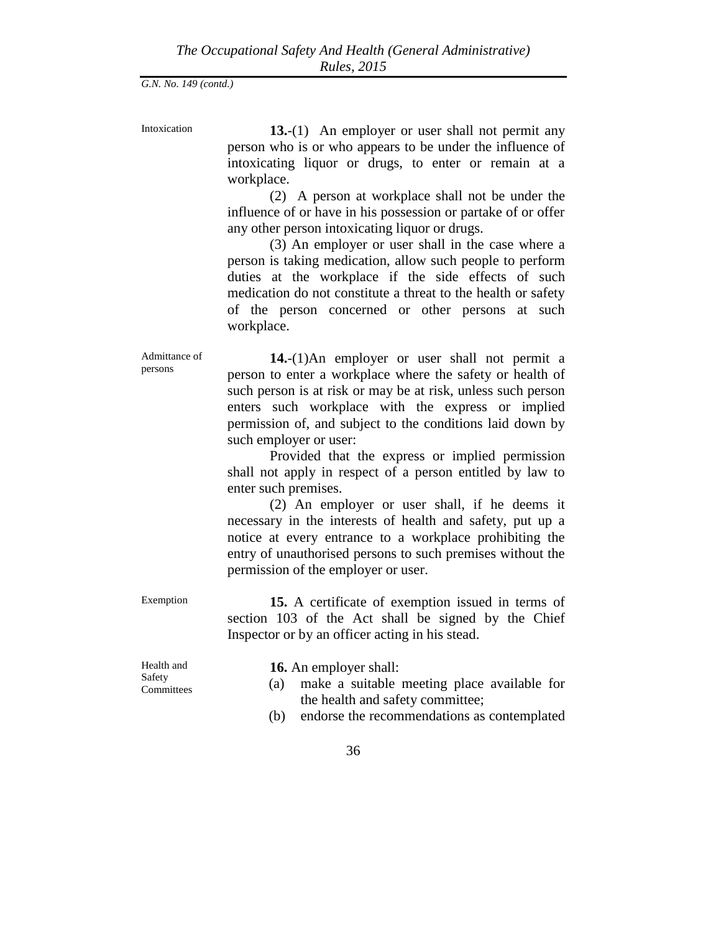Intoxication **13.**-(1) An employer or user shall not permit any person who is or who appears to be under the influence of intoxicating liquor or drugs, to enter or remain at a workplace.

> (2) A person at workplace shall not be under the influence of or have in his possession or partake of or offer any other person intoxicating liquor or drugs.

> (3) An employer or user shall in the case where a person is taking medication, allow such people to perform duties at the workplace if the side effects of such medication do not constitute a threat to the health or safety of the person concerned or other persons at such workplace.

Admittance of persons

**14.**-(1)An employer or user shall not permit a person to enter a workplace where the safety or health of such person is at risk or may be at risk, unless such person enters such workplace with the express or implied permission of, and subject to the conditions laid down by such employer or user:

Provided that the express or implied permission shall not apply in respect of a person entitled by law to enter such premises.

(2) An employer or user shall, if he deems it necessary in the interests of health and safety, put up a notice at every entrance to a workplace prohibiting the entry of unauthorised persons to such premises without the permission of the employer or user.

Exemption **15.** A certificate of exemption issued in terms of section 103 of the Act shall be signed by the Chief Inspector or by an officer acting in his stead.

Health and Safety **Committees**  **16.** An employer shall:

- (a) make a suitable meeting place available for the health and safety committee;
- (b) endorse the recommendations as contemplated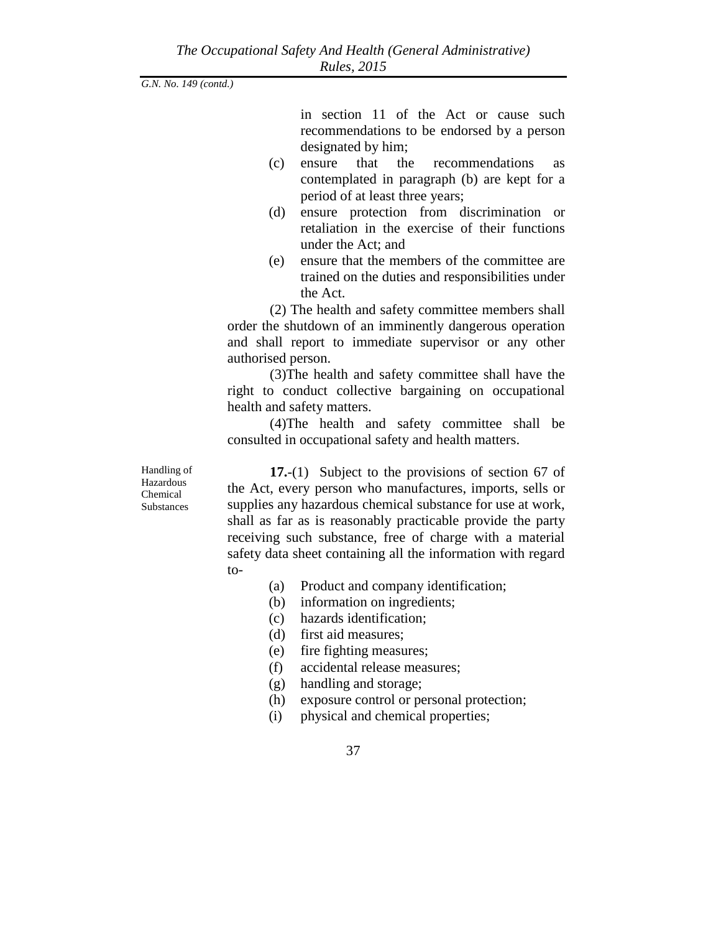in section 11 of the Act or cause such recommendations to be endorsed by a person designated by him;

- (c) ensure that the recommendations as contemplated in paragraph (b) are kept for a period of at least three years;
- (d) ensure protection from discrimination or retaliation in the exercise of their functions under the Act; and
- (e) ensure that the members of the committee are trained on the duties and responsibilities under the Act.

(2) The health and safety committee members shall order the shutdown of an imminently dangerous operation and shall report to immediate supervisor or any other authorised person.

(3)The health and safety committee shall have the right to conduct collective bargaining on occupational health and safety matters.

(4)The health and safety committee shall be consulted in occupational safety and health matters.

Handling of Hazardous Chemical **Substances** 

**17.**-(1) Subject to the provisions of section 67 of the Act, every person who manufactures, imports, sells or supplies any hazardous chemical substance for use at work, shall as far as is reasonably practicable provide the party receiving such substance, free of charge with a material safety data sheet containing all the information with regard to-

- (a) Product and company identification;
- (b) information on ingredients;
- (c) hazards identification;
- (d) first aid measures;
- (e) fire fighting measures;
- (f) accidental release measures;
- (g) handling and storage;
- (h) exposure control or personal protection;
- (i) physical and chemical properties;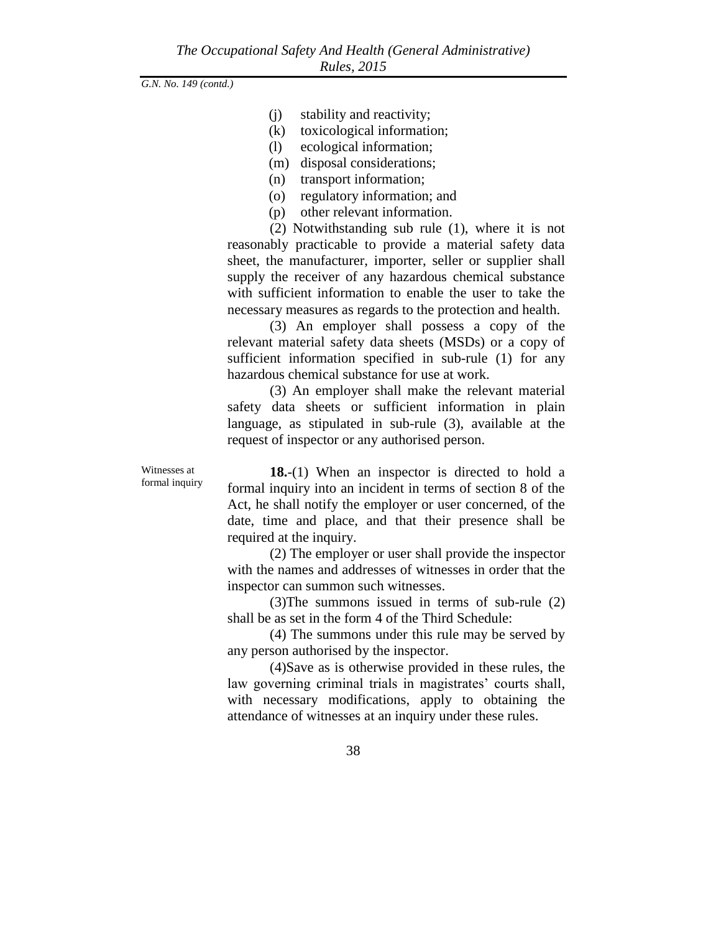- (j) stability and reactivity;
- (k) toxicological information;
- (l) ecological information;
- (m) disposal considerations;
- (n) transport information;
- (o) regulatory information; and
- (p) other relevant information.

(2) Notwithstanding sub rule (1), where it is not reasonably practicable to provide a material safety data sheet, the manufacturer, importer, seller or supplier shall supply the receiver of any hazardous chemical substance with sufficient information to enable the user to take the necessary measures as regards to the protection and health.

(3) An employer shall possess a copy of the relevant material safety data sheets (MSDs) or a copy of sufficient information specified in sub-rule (1) for any hazardous chemical substance for use at work.

(3) An employer shall make the relevant material safety data sheets or sufficient information in plain language, as stipulated in sub-rule (3), available at the request of inspector or any authorised person.

Witnesses at formal inquiry

**18.**-(1) When an inspector is directed to hold a formal inquiry into an incident in terms of section 8 of the Act, he shall notify the employer or user concerned, of the date, time and place, and that their presence shall be required at the inquiry.

(2) The employer or user shall provide the inspector with the names and addresses of witnesses in order that the inspector can summon such witnesses.

(3)The summons issued in terms of sub-rule (2) shall be as set in the form 4 of the Third Schedule:

(4) The summons under this rule may be served by any person authorised by the inspector.

(4)Save as is otherwise provided in these rules, the law governing criminal trials in magistrates' courts shall, with necessary modifications, apply to obtaining the attendance of witnesses at an inquiry under these rules.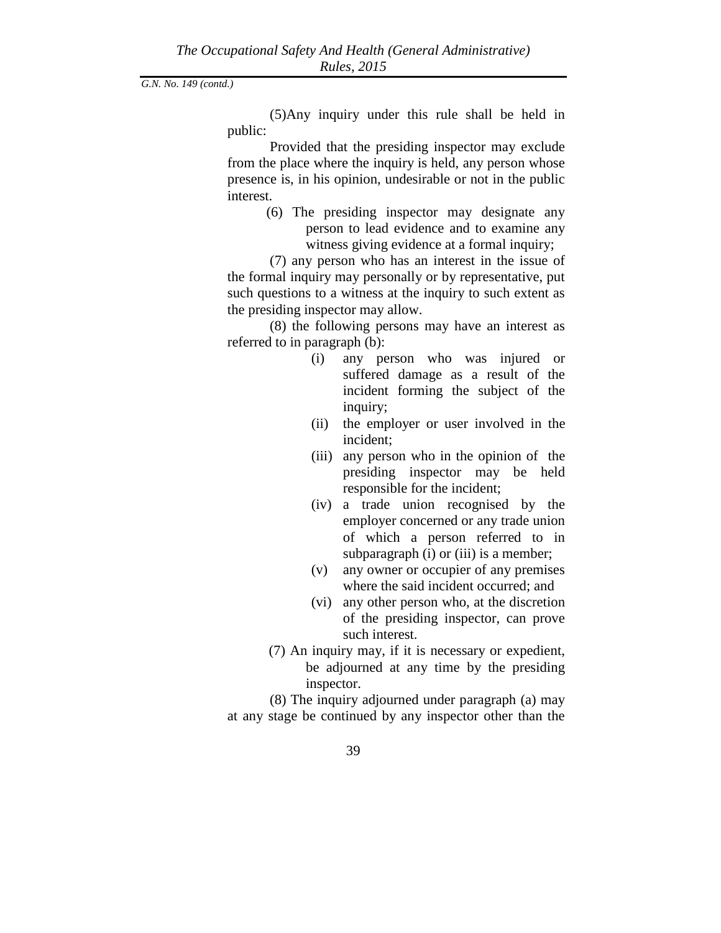(5)Any inquiry under this rule shall be held in public:

Provided that the presiding inspector may exclude from the place where the inquiry is held, any person whose presence is, in his opinion, undesirable or not in the public interest.

> (6) The presiding inspector may designate any person to lead evidence and to examine any witness giving evidence at a formal inquiry;

(7) any person who has an interest in the issue of the formal inquiry may personally or by representative, put such questions to a witness at the inquiry to such extent as the presiding inspector may allow.

(8) the following persons may have an interest as referred to in paragraph (b):

- (i) any person who was injured or suffered damage as a result of the incident forming the subject of the inquiry;
- (ii) the employer or user involved in the incident;
- (iii) any person who in the opinion of the presiding inspector may be held responsible for the incident;
- (iv) a trade union recognised by the employer concerned or any trade union of which a person referred to in subparagraph (i) or (iii) is a member;
- (v) any owner or occupier of any premises where the said incident occurred; and
- (vi) any other person who, at the discretion of the presiding inspector, can prove such interest.
- (7) An inquiry may, if it is necessary or expedient, be adjourned at any time by the presiding inspector.

(8) The inquiry adjourned under paragraph (a) may at any stage be continued by any inspector other than the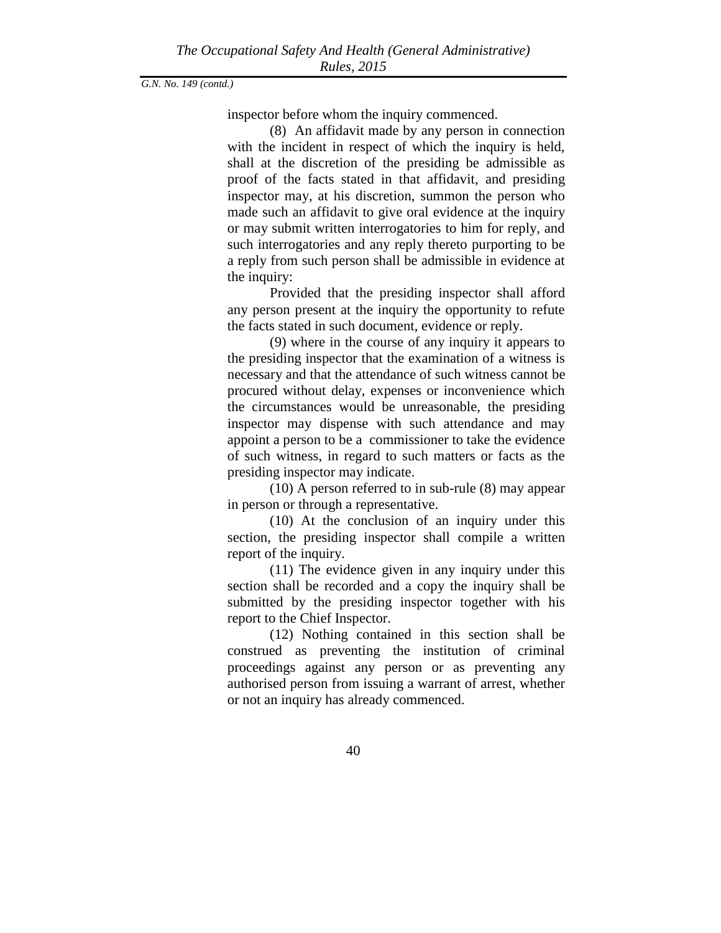inspector before whom the inquiry commenced.

(8) An affidavit made by any person in connection with the incident in respect of which the inquiry is held, shall at the discretion of the presiding be admissible as proof of the facts stated in that affidavit, and presiding inspector may, at his discretion, summon the person who made such an affidavit to give oral evidence at the inquiry or may submit written interrogatories to him for reply, and such interrogatories and any reply thereto purporting to be a reply from such person shall be admissible in evidence at the inquiry:

Provided that the presiding inspector shall afford any person present at the inquiry the opportunity to refute the facts stated in such document, evidence or reply.

(9) where in the course of any inquiry it appears to the presiding inspector that the examination of a witness is necessary and that the attendance of such witness cannot be procured without delay, expenses or inconvenience which the circumstances would be unreasonable, the presiding inspector may dispense with such attendance and may appoint a person to be a commissioner to take the evidence of such witness, in regard to such matters or facts as the presiding inspector may indicate.

(10) A person referred to in sub-rule (8) may appear in person or through a representative.

(10) At the conclusion of an inquiry under this section, the presiding inspector shall compile a written report of the inquiry.

(11) The evidence given in any inquiry under this section shall be recorded and a copy the inquiry shall be submitted by the presiding inspector together with his report to the Chief Inspector.

(12) Nothing contained in this section shall be construed as preventing the institution of criminal proceedings against any person or as preventing any authorised person from issuing a warrant of arrest, whether or not an inquiry has already commenced.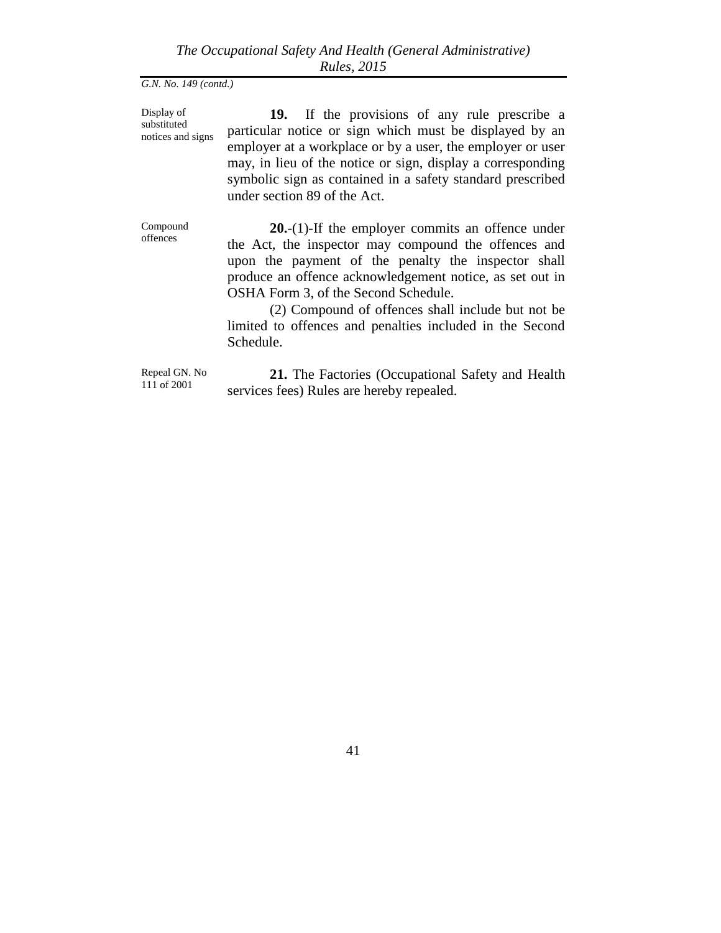Display of substituted notices and signs

**19.** If the provisions of any rule prescribe a particular notice or sign which must be displayed by an employer at a workplace or by a user, the employer or user may, in lieu of the notice or sign, display a corresponding symbolic sign as contained in a safety standard prescribed under section 89 of the Act.

Compound offences

**20.**-(1)-If the employer commits an offence under the Act, the inspector may compound the offences and upon the payment of the penalty the inspector shall produce an offence acknowledgement notice, as set out in OSHA Form 3, of the Second Schedule.

(2) Compound of offences shall include but not be limited to offences and penalties included in the Second Schedule.

Repeal GN. No 111 of 2001

**21.** The Factories (Occupational Safety and Health services fees) Rules are hereby repealed.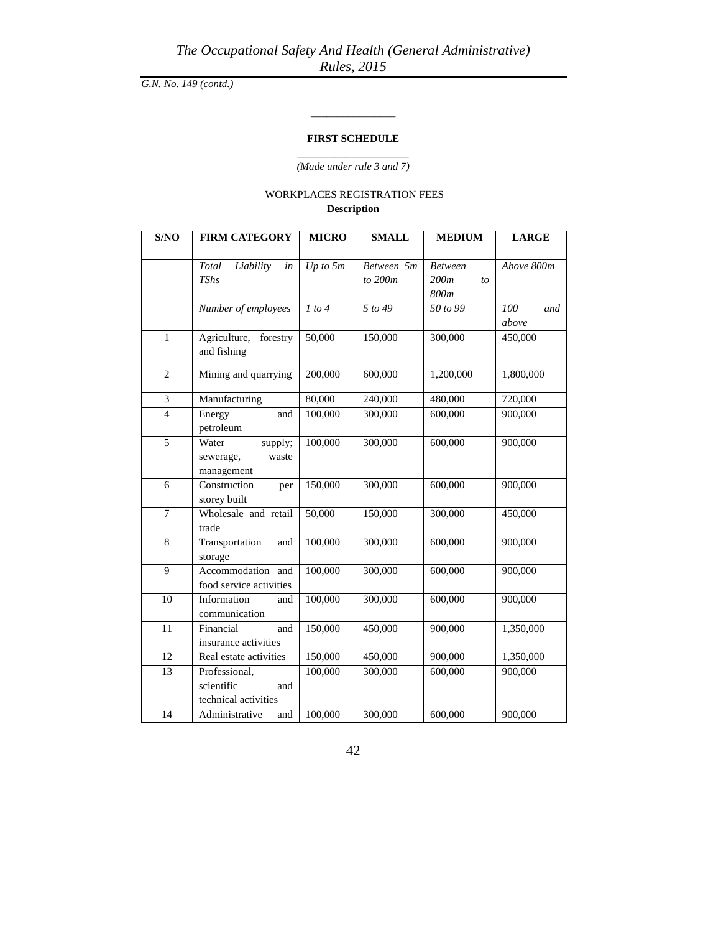## **FIRST SCHEDULE**

\_\_\_\_\_\_\_\_\_\_\_\_\_\_\_\_

\_\_\_\_\_\_\_\_\_\_\_\_\_\_\_\_\_\_\_\_\_ *(Made under rule 3 and 7)*

## WORKPLACES REGISTRATION FEES **Description**

| S/NO           | <b>FIRM CATEGORY</b>     | <b>MICRO</b>        | <b>SMALL</b> | <b>MEDIUM</b> | <b>LARGE</b> |
|----------------|--------------------------|---------------------|--------------|---------------|--------------|
|                |                          |                     |              |               |              |
|                | Total<br>Liability<br>in | $Up$ to 5m          | Between 5m   | Between       | Above 800m   |
|                | <b>TShs</b>              |                     | to $200m$    | 200m<br>to    |              |
|                |                          |                     |              | 800m          |              |
|                | Number of employees      | $\overline{1}$ to 4 | 5 to 49      | 50 to 99      | 100<br>and   |
|                |                          |                     |              |               | above        |
| $\mathbf{1}$   | Agriculture,<br>forestry | 50,000              | 150,000      | 300,000       | 450,000      |
|                | and fishing              |                     |              |               |              |
| $\overline{2}$ | Mining and quarrying     | 200,000             | 600,000      | 1,200,000     | 1,800,000    |
|                |                          |                     |              |               |              |
| 3              | Manufacturing            | 80,000              | 240,000      | 480,000       | 720,000      |
| $\overline{4}$ | Energy<br>and            | 100,000             | 300,000      | 600,000       | 900,000      |
|                | petroleum                |                     |              |               |              |
| 5              | Water<br>supply;         | 100,000             | 300,000      | 600,000       | 900,000      |
|                | sewerage,<br>waste       |                     |              |               |              |
|                | management               |                     |              |               |              |
| 6              | Construction<br>per      | 150,000             | 300,000      | 600,000       | 900,000      |
|                | storey built             |                     |              |               |              |
| $\tau$         | Wholesale and retail     | 50,000              | 150,000      | 300,000       | 450,000      |
|                | trade                    |                     |              |               |              |
| $\overline{8}$ | Transportation<br>and    | 100,000             | 300,000      | 600,000       | 900,000      |
|                | storage                  |                     |              |               |              |
| 9              | Accommodation and        | 100,000             | 300,000      | 600,000       | 900,000      |
|                | food service activities  |                     |              |               |              |
| 10             | Information<br>and       | 100,000             | 300,000      | 600,000       | 900,000      |
|                | communication            |                     |              |               |              |
| 11             | Financial<br>and         | 150,000             | 450,000      | 900,000       | 1,350,000    |
|                | insurance activities     |                     |              |               |              |
| 12             | Real estate activities   | 150,000             | 450,000      | 900,000       | 1,350,000    |
| 13             | Professional,            | 100,000             | 300,000      | 600,000       | 900,000      |
|                | scientific<br>and        |                     |              |               |              |
|                | technical activities     |                     |              |               |              |
| 14             | Administrative<br>and    | 100,000             | 300,000      | 600,000       | 900,000      |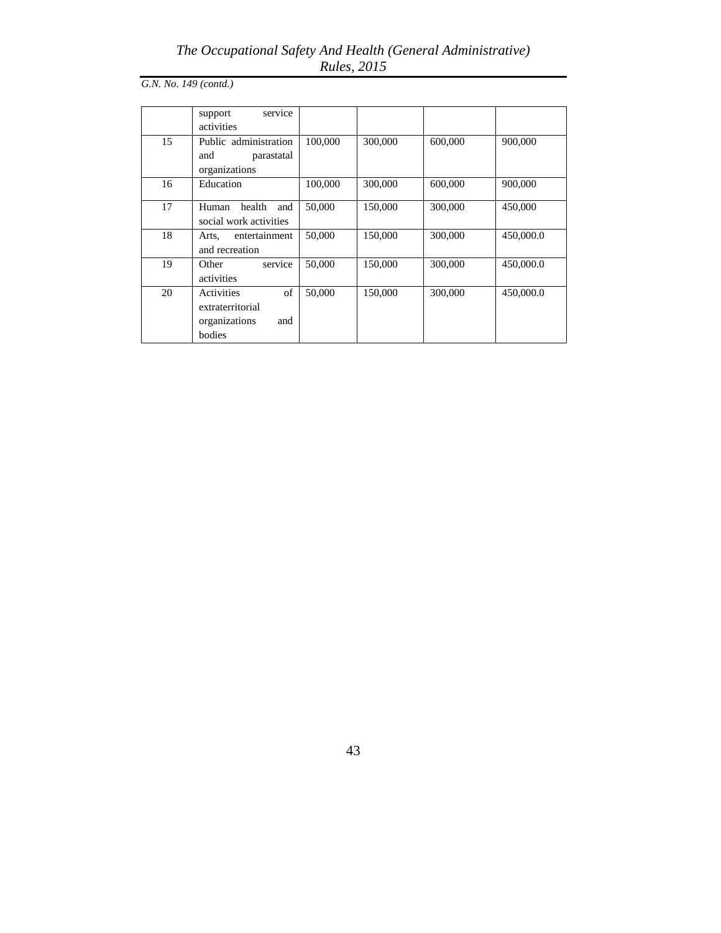# *The Occupational Safety And Health (General Administrative) Rules, 2015*

*G.N. No. 149 (contd.)*

|    | support<br>service<br>activities                                       |         |         |         |           |
|----|------------------------------------------------------------------------|---------|---------|---------|-----------|
| 15 | Public administration<br>and<br>parastatal<br>organizations            | 100,000 | 300,000 | 600,000 | 900,000   |
| 16 | Education                                                              | 100,000 | 300,000 | 600,000 | 900,000   |
| 17 | health<br>Human<br>and<br>social work activities                       | 50,000  | 150,000 | 300,000 | 450,000   |
| 18 | entertainment<br>Arts,<br>and recreation                               | 50,000  | 150,000 | 300,000 | 450,000.0 |
| 19 | service<br>Other<br>activities                                         | 50,000  | 150,000 | 300,000 | 450,000.0 |
| 20 | of<br>Activities<br>extraterritorial<br>organizations<br>and<br>bodies | 50,000  | 150,000 | 300,000 | 450,000.0 |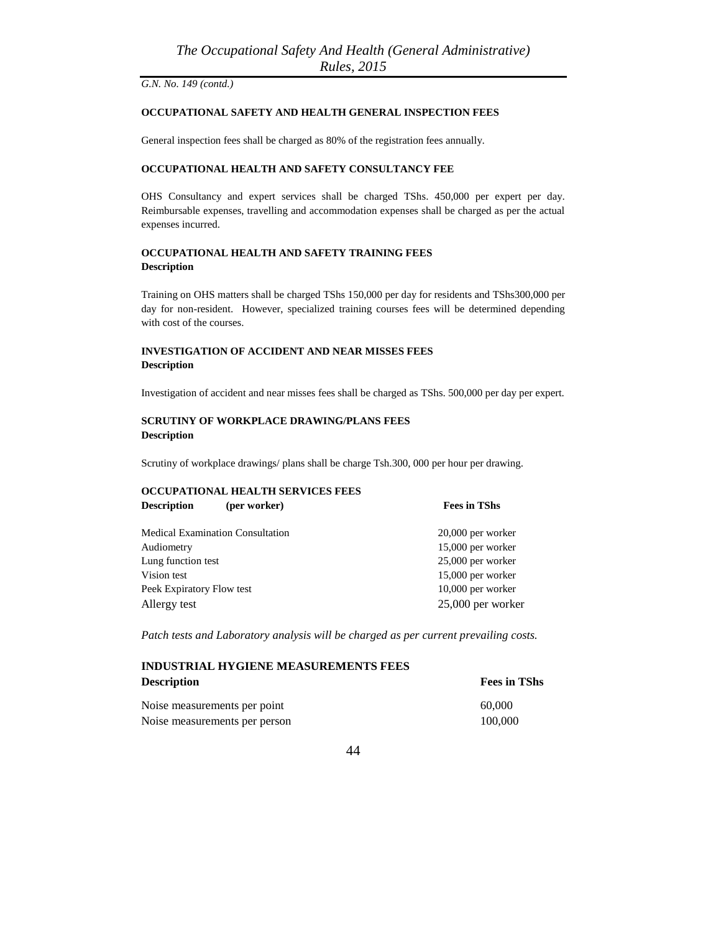### **OCCUPATIONAL SAFETY AND HEALTH GENERAL INSPECTION FEES**

General inspection fees shall be charged as 80% of the registration fees annually.

#### **OCCUPATIONAL HEALTH AND SAFETY CONSULTANCY FEE**

OHS Consultancy and expert services shall be charged TShs. 450,000 per expert per day. Reimbursable expenses, travelling and accommodation expenses shall be charged as per the actual expenses incurred.

## **OCCUPATIONAL HEALTH AND SAFETY TRAINING FEES Description**

Training on OHS matters shall be charged TShs 150,000 per day for residents and TShs300,000 per day for non-resident. However, specialized training courses fees will be determined depending with cost of the courses.

## **INVESTIGATION OF ACCIDENT AND NEAR MISSES FEES Description**

Investigation of accident and near misses fees shall be charged as TShs. 500,000 per day per expert.

#### **SCRUTINY OF WORKPLACE DRAWING/PLANS FEES Description**

Scrutiny of workplace drawings/ plans shall be charge Tsh.300, 000 per hour per drawing.

## **OCCUPATIONAL HEALTH SERVICES FEES Description** (per worker) Fees in TShs

| <b>Medical Examination Consultation</b> | $20,000$ per worker |
|-----------------------------------------|---------------------|
| Audiometry                              | 15,000 per worker   |
| Lung function test                      | 25,000 per worker   |
| Vision test                             | 15,000 per worker   |
| Peek Expiratory Flow test               | $10,000$ per worker |
| Allergy test                            | $25,000$ per worker |
|                                         |                     |

*Patch tests and Laboratory analysis will be charged as per current prevailing costs.*

# **INDUSTRIAL HYGIENE MEASUREMENTS FEES Description** Fees in TShs

| Noise measurements per point  | 60,000  |
|-------------------------------|---------|
| Noise measurements per person | 100,000 |

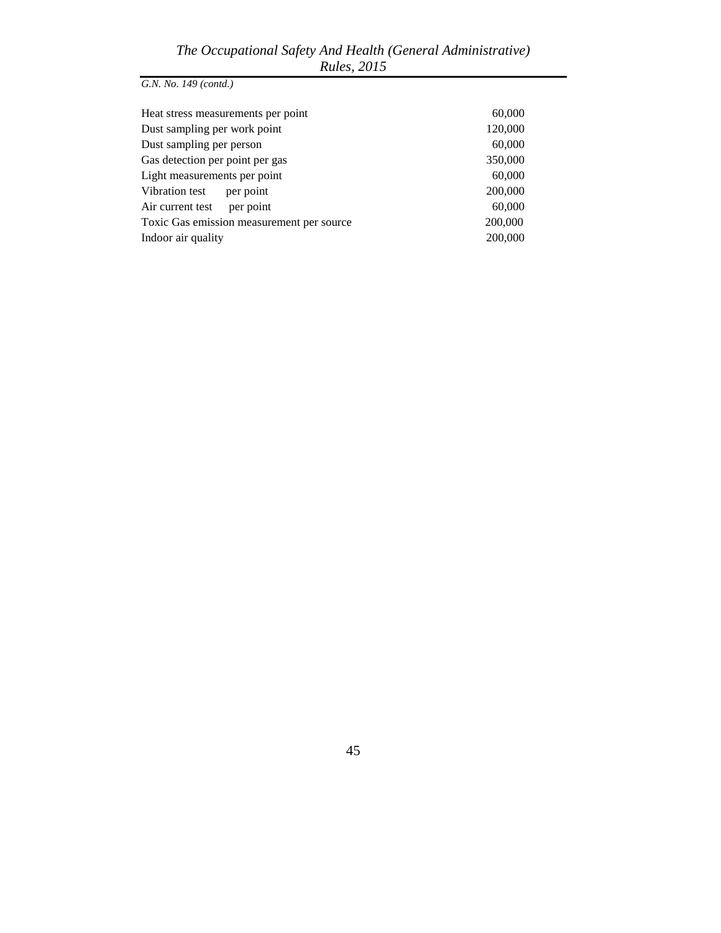| 60,000  |
|---------|
| 120,000 |
| 60,000  |
| 350,000 |
| 60,000  |
| 200,000 |
| 60,000  |
| 200,000 |
| 200,000 |
|         |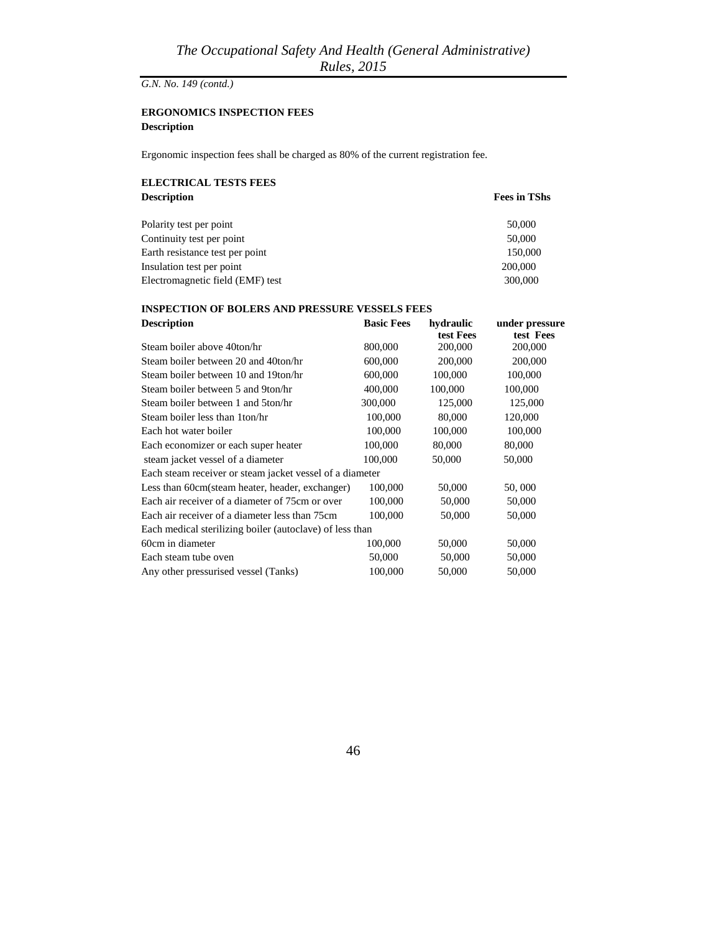## **ERGONOMICS INSPECTION FEES Description**

Ergonomic inspection fees shall be charged as 80% of the current registration fee.

## **ELECTRICAL TESTS FEES Description**

|  |  | <b>Fees in TShs</b> |
|--|--|---------------------|
|--|--|---------------------|

| Polarity test per point          | 50,000  |
|----------------------------------|---------|
| Continuity test per point        | 50,000  |
| Earth resistance test per point  | 150,000 |
| Insulation test per point        | 200,000 |
| Electromagnetic field (EMF) test | 300,000 |

## **INSPECTION OF BOLERS AND PRESSURE VESSELS FEES**

| <b>Description</b>                                       | <b>Basic Fees</b> | hydraulic | under pressure |
|----------------------------------------------------------|-------------------|-----------|----------------|
|                                                          |                   | test Fees | test Fees      |
| Steam boiler above 40ton/hr                              | 800,000           | 200,000   | 200,000        |
| Steam boiler between 20 and 40ton/hr                     | 600,000           | 200,000   | 200,000        |
| Steam boiler between 10 and 19ton/hr                     | 600,000           | 100,000   | 100,000        |
| Steam boiler between 5 and 9ton/hr                       | 400,000           | 100,000   | 100,000        |
| Steam boiler between 1 and 5ton/hr                       | 300,000           | 125,000   | 125,000        |
| Steam boiler less than 1ton/hr                           | 100,000           | 80,000    | 120,000        |
| Each hot water boiler                                    | 100,000           | 100,000   | 100,000        |
| Each economizer or each super heater                     | 100,000           | 80,000    | 80,000         |
| steam jacket vessel of a diameter                        | 100,000           | 50,000    | 50,000         |
| Each steam receiver or steam jacket vessel of a diameter |                   |           |                |
| Less than 60cm(steam heater, header, exchanger)          | 100,000           | 50,000    | 50,000         |
| Each air receiver of a diameter of 75cm or over          | 100,000           | 50,000    | 50,000         |
| Each air receiver of a diameter less than 75cm           | 100,000           | 50,000    | 50,000         |
| Each medical sterilizing boiler (autoclave) of less than |                   |           |                |
| 60cm in diameter                                         | 100,000           | 50,000    | 50,000         |
| Each steam tube oven                                     | 50,000            | 50,000    | 50,000         |
| Any other pressurised vessel (Tanks)                     | 100,000           | 50,000    | 50,000         |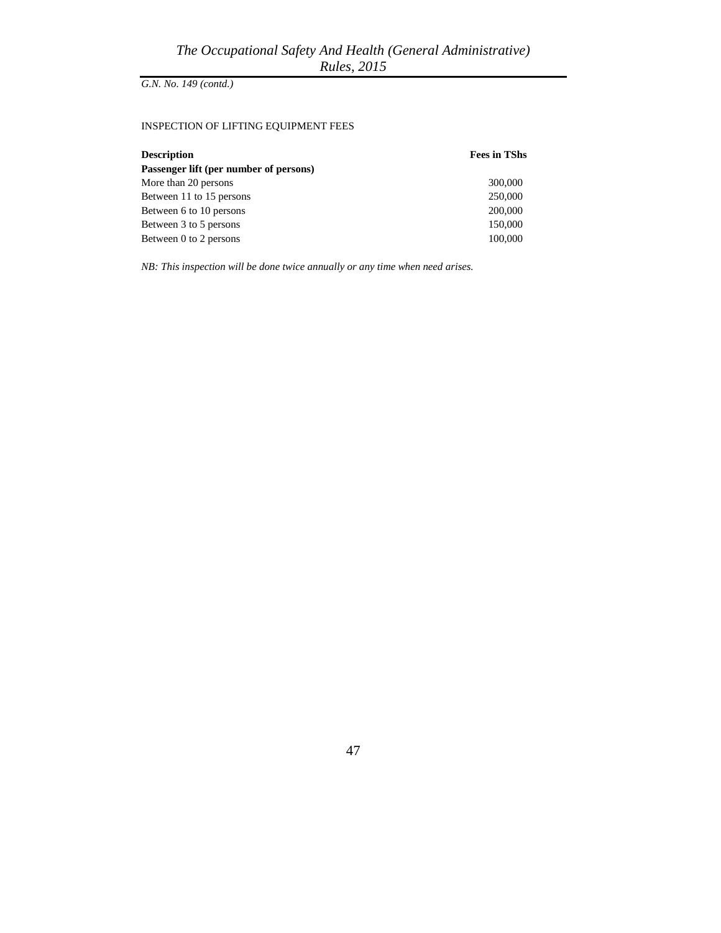## INSPECTION OF LIFTING EQUIPMENT FEES

| <b>Description</b>                     | <b>Fees in TShs</b> |
|----------------------------------------|---------------------|
| Passenger lift (per number of persons) |                     |
| More than 20 persons                   | 300,000             |
| Between 11 to 15 persons               | 250,000             |
| Between 6 to 10 persons                | 200,000             |
| Between 3 to 5 persons                 | 150,000             |
| Between 0 to 2 persons                 | 100,000             |

*NB: This inspection will be done twice annually or any time when need arises.*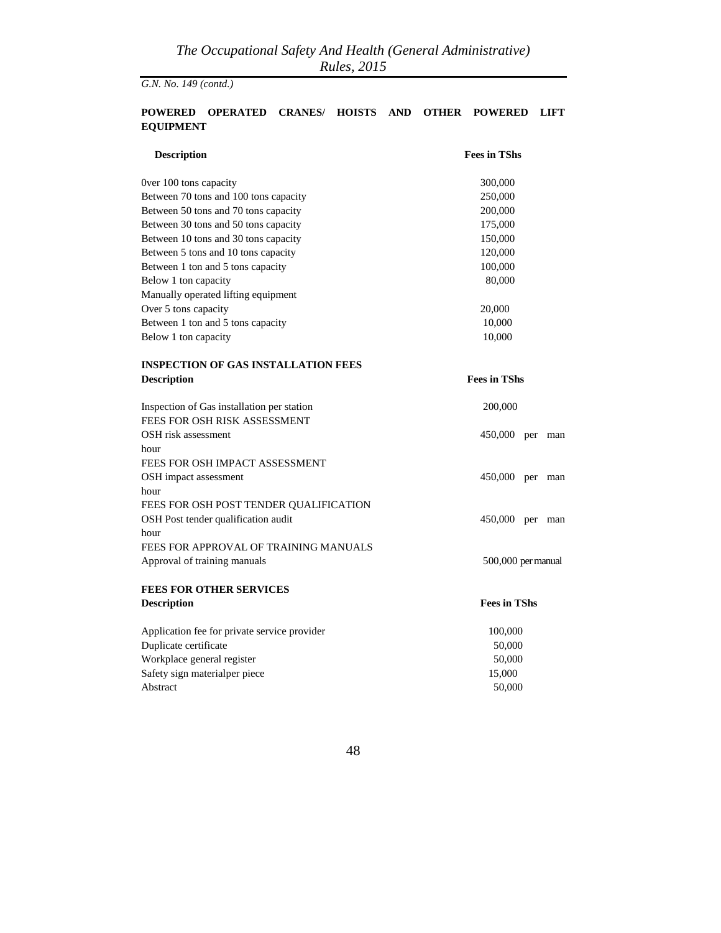## **POWERED OPERATED CRANES/ HOISTS AND OTHER POWERED LIFT EQUIPMENT**

| <b>Description</b>                           | <b>Fees in TShs</b>   |  |
|----------------------------------------------|-----------------------|--|
| Over 100 tons capacity                       | 300,000               |  |
| Between 70 tons and 100 tons capacity        | 250,000               |  |
| Between 50 tons and 70 tons capacity         | 200,000               |  |
| Between 30 tons and 50 tons capacity         | 175,000               |  |
| Between 10 tons and 30 tons capacity         | 150,000               |  |
| Between 5 tons and 10 tons capacity          | 120,000               |  |
| Between 1 ton and 5 tons capacity            | 100,000               |  |
| Below 1 ton capacity                         | 80,000                |  |
| Manually operated lifting equipment          |                       |  |
| Over 5 tons capacity                         | 20,000                |  |
| Between 1 ton and 5 tons capacity            | 10,000                |  |
| Below 1 ton capacity                         | 10,000                |  |
| <b>INSPECTION OF GAS INSTALLATION FEES</b>   |                       |  |
| <b>Description</b>                           | <b>Fees in TShs</b>   |  |
| Inspection of Gas installation per station   | 200,000               |  |
| FEES FOR OSH RISK ASSESSMENT                 |                       |  |
| OSH risk assessment                          | 450,000<br>per man    |  |
| hour                                         |                       |  |
| FEES FOR OSH IMPACT ASSESSMENT               |                       |  |
| OSH impact assessment                        | 450,000<br>per<br>man |  |
| hour                                         |                       |  |
| FEES FOR OSH POST TENDER QUALIFICATION       |                       |  |
| OSH Post tender qualification audit          | 450,000 per man       |  |
| hour                                         |                       |  |
| FEES FOR APPROVAL OF TRAINING MANUALS        |                       |  |
| Approval of training manuals                 | 500,000 per manual    |  |
| <b>FEES FOR OTHER SERVICES</b>               |                       |  |
| <b>Description</b>                           | <b>Fees in TShs</b>   |  |
| Application fee for private service provider | 100,000               |  |
| Duplicate certificate                        | 50,000                |  |
| Workplace general register                   | 50,000                |  |
| Safety sign materialper piece                | 15,000                |  |
| Abstract                                     | 50,000                |  |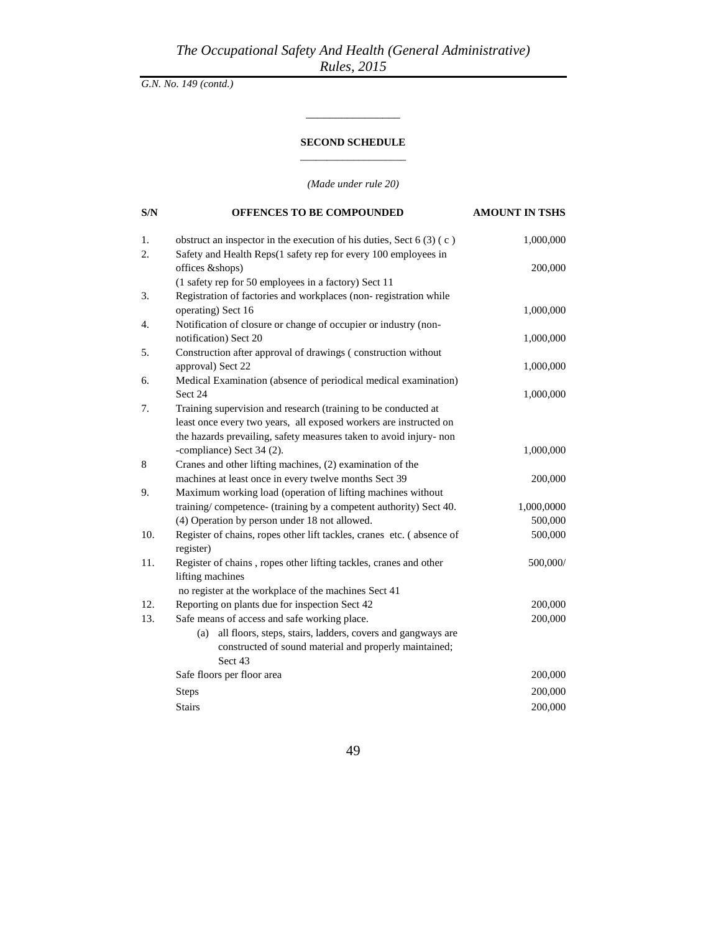## **SECOND SCHEDULE** \_\_\_\_\_\_\_\_\_\_\_\_\_\_\_\_\_\_\_\_

\_\_\_\_\_\_\_\_\_\_\_\_\_\_\_\_

*(Made under rule 20)*

| S/N | OFFENCES TO BE COMPOUNDED                                                                                                | <b>AMOUNT IN TSHS</b> |
|-----|--------------------------------------------------------------------------------------------------------------------------|-----------------------|
| 1.  | obstruct an inspector in the execution of his duties, Sect $6(3)(c)$                                                     | 1,000,000             |
| 2.  | Safety and Health Reps(1 safety rep for every 100 employees in                                                           |                       |
|     | offices &shops)                                                                                                          | 200,000               |
| 3.  | (1 safety rep for 50 employees in a factory) Sect 11<br>Registration of factories and workplaces (non-registration while |                       |
|     | operating) Sect 16                                                                                                       | 1,000,000             |
| 4.  | Notification of closure or change of occupier or industry (non-                                                          |                       |
|     | notification) Sect 20                                                                                                    | 1,000,000             |
| 5.  | Construction after approval of drawings (construction without                                                            |                       |
|     | approval) Sect 22                                                                                                        | 1,000,000             |
| 6.  | Medical Examination (absence of periodical medical examination)                                                          |                       |
|     | Sect 24                                                                                                                  | 1,000,000             |
| 7.  | Training supervision and research (training to be conducted at                                                           |                       |
|     | least once every two years, all exposed workers are instructed on                                                        |                       |
|     | the hazards prevailing, safety measures taken to avoid injury- non                                                       |                       |
|     | -compliance) Sect 34 (2).                                                                                                | 1,000,000             |
| 8   | Cranes and other lifting machines, (2) examination of the                                                                |                       |
|     | machines at least once in every twelve months Sect 39                                                                    | 200,000               |
| 9.  | Maximum working load (operation of lifting machines without                                                              |                       |
|     | training/competence- (training by a competent authority) Sect 40.                                                        | 1,000,0000            |
|     | (4) Operation by person under 18 not allowed.                                                                            | 500,000               |
| 10. | Register of chains, ropes other lift tackles, cranes etc. (absence of                                                    | 500,000               |
| 11. | register)                                                                                                                | 500,000/              |
|     | Register of chains, ropes other lifting tackles, cranes and other<br>lifting machines                                    |                       |
|     | no register at the workplace of the machines Sect 41                                                                     |                       |
| 12. | Reporting on plants due for inspection Sect 42                                                                           | 200,000               |
| 13. | Safe means of access and safe working place.                                                                             | 200,000               |
|     | all floors, steps, stairs, ladders, covers and gangways are<br>(a)                                                       |                       |
|     | constructed of sound material and properly maintained;                                                                   |                       |
|     | Sect 43                                                                                                                  |                       |
|     | Safe floors per floor area                                                                                               | 200,000               |
|     | <b>Steps</b>                                                                                                             | 200,000               |
|     | <b>Stairs</b>                                                                                                            | 200,000               |
|     |                                                                                                                          |                       |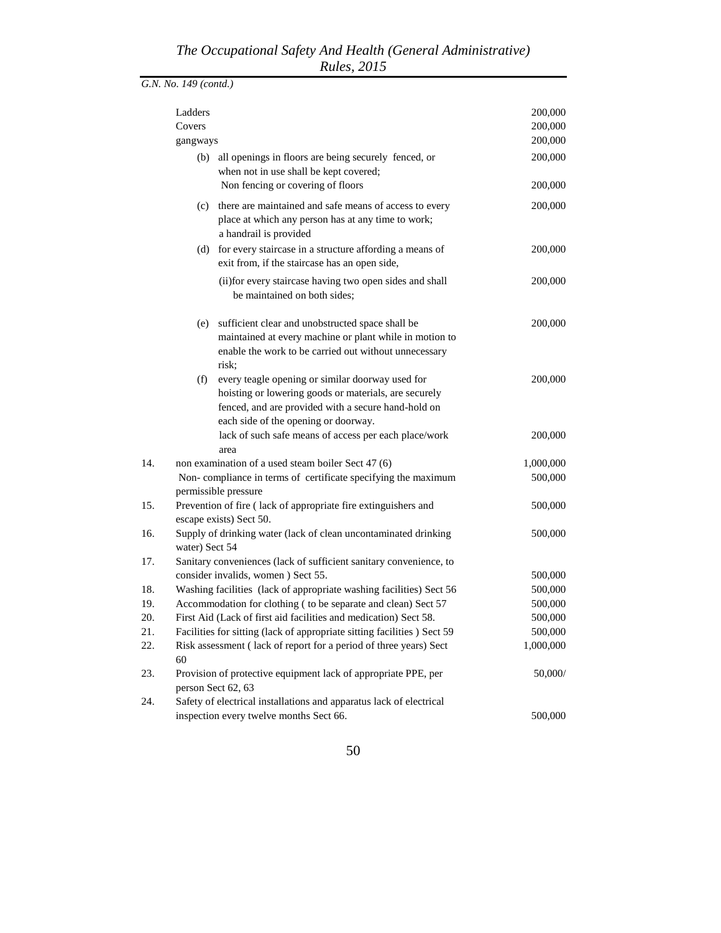|     | Ladders                                                                                                                                                                                                         |  | 200,000            |
|-----|-----------------------------------------------------------------------------------------------------------------------------------------------------------------------------------------------------------------|--|--------------------|
|     | Covers                                                                                                                                                                                                          |  | 200,000            |
|     | gangways                                                                                                                                                                                                        |  | 200,000            |
|     | (b) all openings in floors are being securely fenced, or<br>when not in use shall be kept covered;<br>Non fencing or covering of floors                                                                         |  | 200,000<br>200,000 |
|     |                                                                                                                                                                                                                 |  |                    |
|     | (c) there are maintained and safe means of access to every<br>place at which any person has at any time to work;<br>a handrail is provided                                                                      |  | 200,000            |
|     | for every staircase in a structure affording a means of<br>(d)<br>exit from, if the staircase has an open side,                                                                                                 |  | 200,000            |
|     | (ii) for every staircase having two open sides and shall<br>be maintained on both sides;                                                                                                                        |  | 200,000            |
|     | (e) sufficient clear and unobstructed space shall be<br>maintained at every machine or plant while in motion to<br>enable the work to be carried out without unnecessary<br>risk:                               |  | 200,000            |
|     | (f)<br>every teagle opening or similar doorway used for<br>hoisting or lowering goods or materials, are securely<br>fenced, and are provided with a secure hand-hold on<br>each side of the opening or doorway. |  | 200,000            |
|     | lack of such safe means of access per each place/work<br>area                                                                                                                                                   |  | 200,000            |
| 14. | non examination of a used steam boiler Sect 47 (6)                                                                                                                                                              |  | 1,000,000          |
|     | Non-compliance in terms of certificate specifying the maximum<br>permissible pressure                                                                                                                           |  | 500,000            |
| 15. | Prevention of fire (lack of appropriate fire extinguishers and<br>escape exists) Sect 50.                                                                                                                       |  | 500,000            |
| 16. | Supply of drinking water (lack of clean uncontaminated drinking<br>water) Sect 54                                                                                                                               |  | 500,000            |
| 17. | Sanitary conveniences (lack of sufficient sanitary convenience, to                                                                                                                                              |  |                    |
|     | consider invalids, women ) Sect 55.                                                                                                                                                                             |  | 500,000            |
| 18. | Washing facilities (lack of appropriate washing facilities) Sect 56                                                                                                                                             |  | 500,000            |
| 19. | Accommodation for clothing ( to be separate and clean) Sect 57                                                                                                                                                  |  | 500,000            |
| 20. | First Aid (Lack of first aid facilities and medication) Sect 58.                                                                                                                                                |  | 500,000            |
| 21. | Facilities for sitting (lack of appropriate sitting facilities) Sect 59                                                                                                                                         |  | 500,000            |
| 22. | Risk assessment (lack of report for a period of three years) Sect<br>60                                                                                                                                         |  | 1,000,000          |
| 23. | Provision of protective equipment lack of appropriate PPE, per<br>person Sect 62, 63                                                                                                                            |  | 50,000/            |
| 24. | Safety of electrical installations and apparatus lack of electrical                                                                                                                                             |  |                    |
|     | inspection every twelve months Sect 66.                                                                                                                                                                         |  | 500,000            |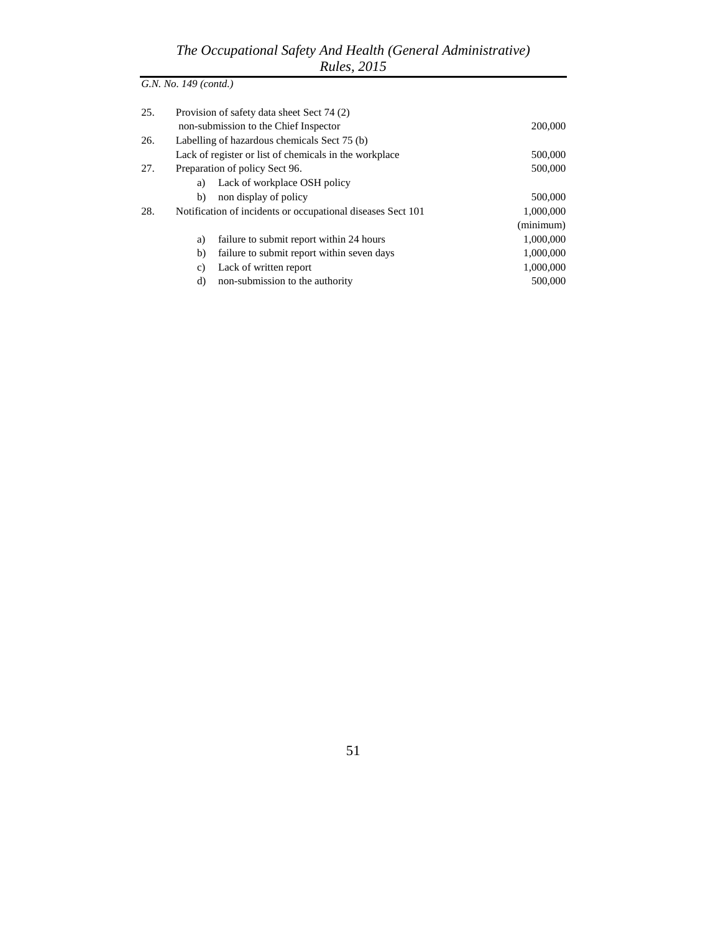| 25. | Provision of safety data sheet Sect 74 (2)                  |           |
|-----|-------------------------------------------------------------|-----------|
|     | non-submission to the Chief Inspector                       | 200,000   |
| 26. | Labelling of hazardous chemicals Sect 75 (b)                |           |
|     | Lack of register or list of chemicals in the workplace      | 500,000   |
| 27. | Preparation of policy Sect 96.                              | 500,000   |
|     | Lack of workplace OSH policy<br>a)                          |           |
|     | non display of policy<br>b)                                 | 500,000   |
| 28. | Notification of incidents or occupational diseases Sect 101 | 1,000,000 |
|     |                                                             | (minimum) |
|     | failure to submit report within 24 hours<br>a)              | 1,000,000 |
|     | b)<br>failure to submit report within seven days            | 1,000,000 |
|     | Lack of written report<br>c)                                | 1,000,000 |
|     | non-submission to the authority<br>d)                       | 500,000   |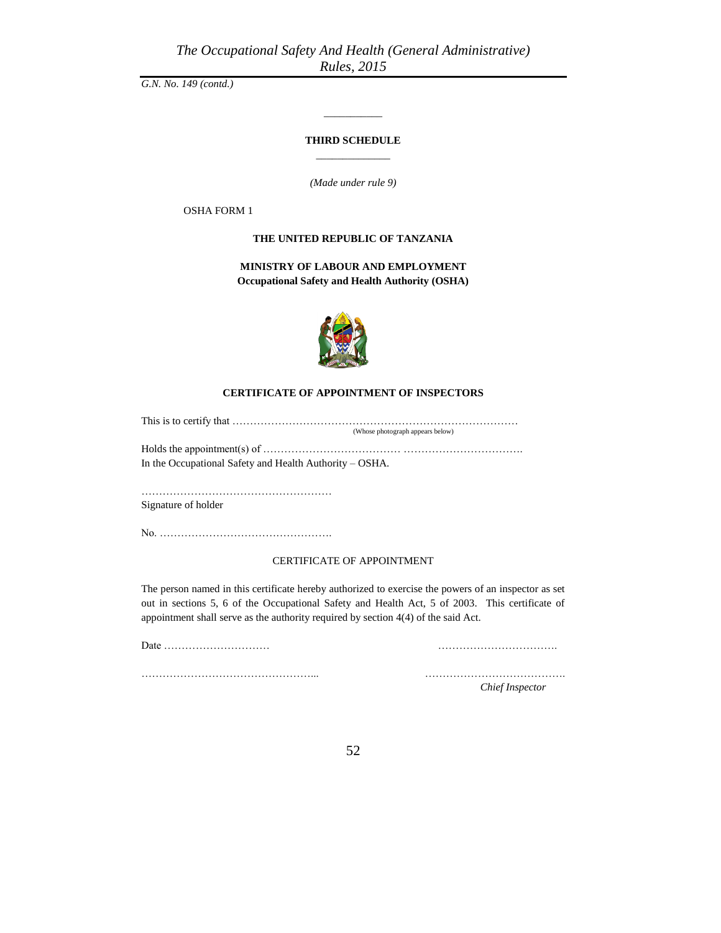#### **THIRD SCHEDULE** \_\_\_\_\_\_\_\_\_\_\_\_\_\_

\_\_\_\_\_\_\_\_\_\_\_

*(Made under rule 9)*

OSHA FORM 1

#### **THE UNITED REPUBLIC OF TANZANIA**

**MINISTRY OF LABOUR AND EMPLOYMENT Occupational Safety and Health Authority (OSHA)**



#### **CERTIFICATE OF APPOINTMENT OF INSPECTORS**

This is to certify that ……………………………………………………………………… (Whose photograph appears below) Holds the appointment(s) of ………………………………… …………………………….

In the Occupational Safety and Health Authority – OSHA.

……………………………………………… Signature of holder

No. ………………………………………….

#### CERTIFICATE OF APPOINTMENT

The person named in this certificate hereby authorized to exercise the powers of an inspector as set out in sections 5, 6 of the Occupational Safety and Health Act, 5 of 2003. This certificate of appointment shall serve as the authority required by section 4(4) of the said Act.

Date ………………………… …………………………….

…………………………………………... ………………………………….

*Chief Inspector*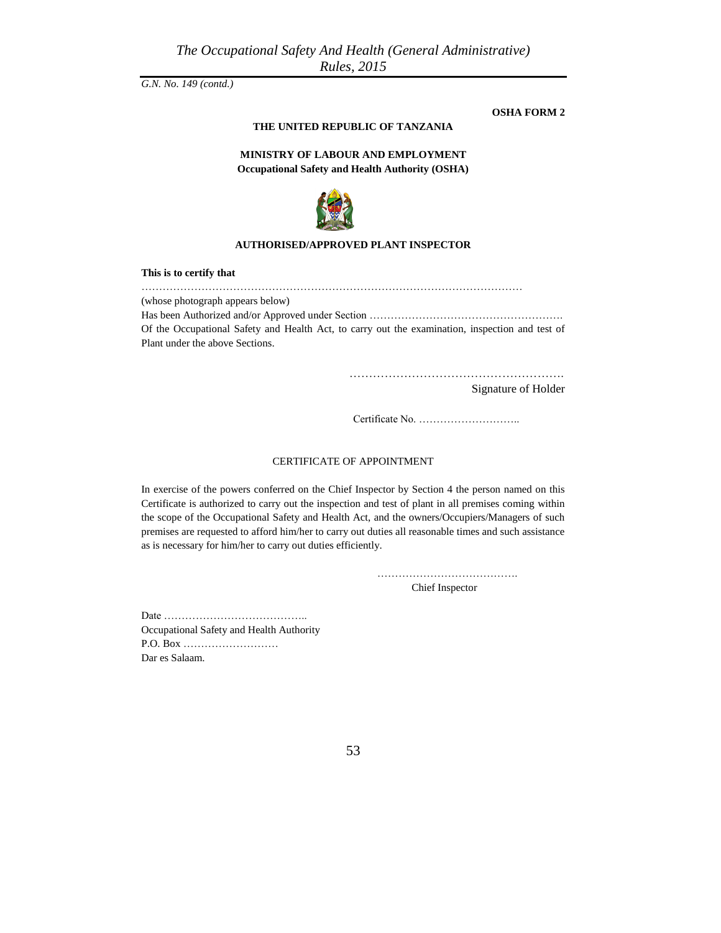**OSHA FORM 2**

## **THE UNITED REPUBLIC OF TANZANIA**

## **MINISTRY OF LABOUR AND EMPLOYMENT Occupational Safety and Health Authority (OSHA)**



#### **AUTHORISED/APPROVED PLANT INSPECTOR**

**This is to certify that** ……………………………………………………………………………………………… (whose photograph appears below) Has been Authorized and/or Approved under Section ………………………………………………. Of the Occupational Safety and Health Act, to carry out the examination, inspection and test of Plant under the above Sections.

……………………………………………….

Signature of Holder

Certificate No. ………………………..

#### CERTIFICATE OF APPOINTMENT

In exercise of the powers conferred on the Chief Inspector by Section 4 the person named on this Certificate is authorized to carry out the inspection and test of plant in all premises coming within the scope of the Occupational Safety and Health Act, and the owners/Occupiers/Managers of such premises are requested to afford him/her to carry out duties all reasonable times and such assistance as is necessary for him/her to carry out duties efficiently.

……………………………………………

Chief Inspector

Date ………………………………….. Occupational Safety and Health Authority P.O. Box ……………………… Dar es Salaam.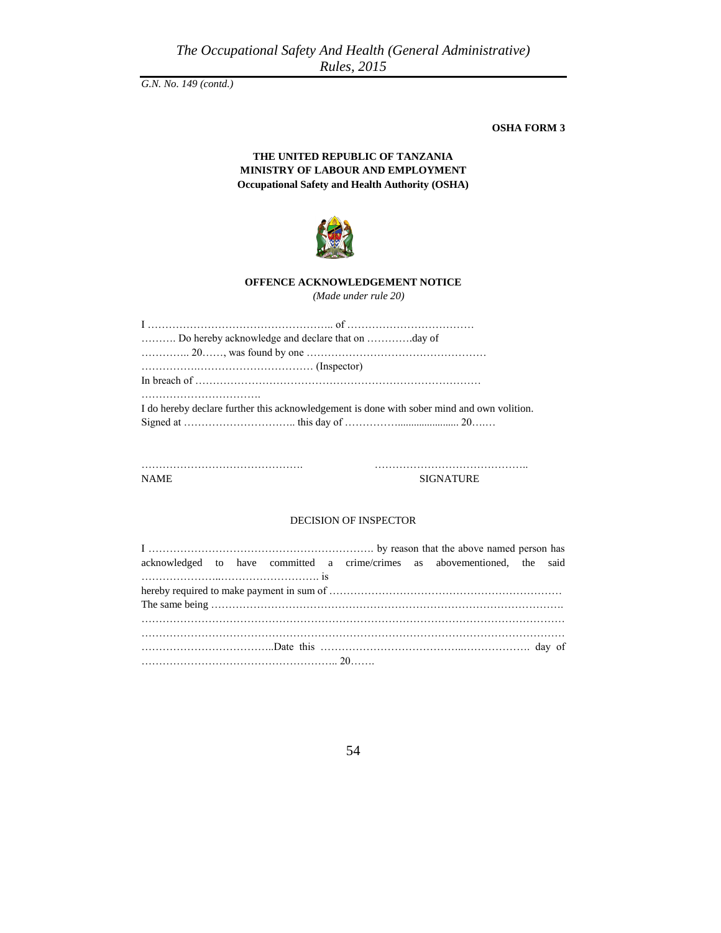*The Occupational Safety And Health (General Administrative) Rules, 2015*

*G.N. No. 149 (contd.)*

**OSHA FORM 3**

## **THE UNITED REPUBLIC OF TANZANIA MINISTRY OF LABOUR AND EMPLOYMENT Occupational Safety and Health Authority (OSHA)**



## **OFFENCE ACKNOWLEDGEMENT NOTICE**

*(Made under rule 20)*

| Do hereby acknowledge and declare that on day of                                           |
|--------------------------------------------------------------------------------------------|
|                                                                                            |
|                                                                                            |
|                                                                                            |
| I do hereby declare further this acknowledgement is done with sober mind and own volition. |

………………………………………. …………………………………….. NAME SIGNATURE

#### DECISION OF INSPECTOR

|                                                                                            |  |  |  | acknowledged to have committed a crime/crimes as abovementioned, the said |  |
|--------------------------------------------------------------------------------------------|--|--|--|---------------------------------------------------------------------------|--|
| $\ldots \ldots \ldots \ldots \ldots \ldots \ldots \ldots \ldots \ldots \ldots \text{ is }$ |  |  |  |                                                                           |  |
|                                                                                            |  |  |  |                                                                           |  |
|                                                                                            |  |  |  |                                                                           |  |
|                                                                                            |  |  |  |                                                                           |  |
|                                                                                            |  |  |  |                                                                           |  |
|                                                                                            |  |  |  |                                                                           |  |
|                                                                                            |  |  |  |                                                                           |  |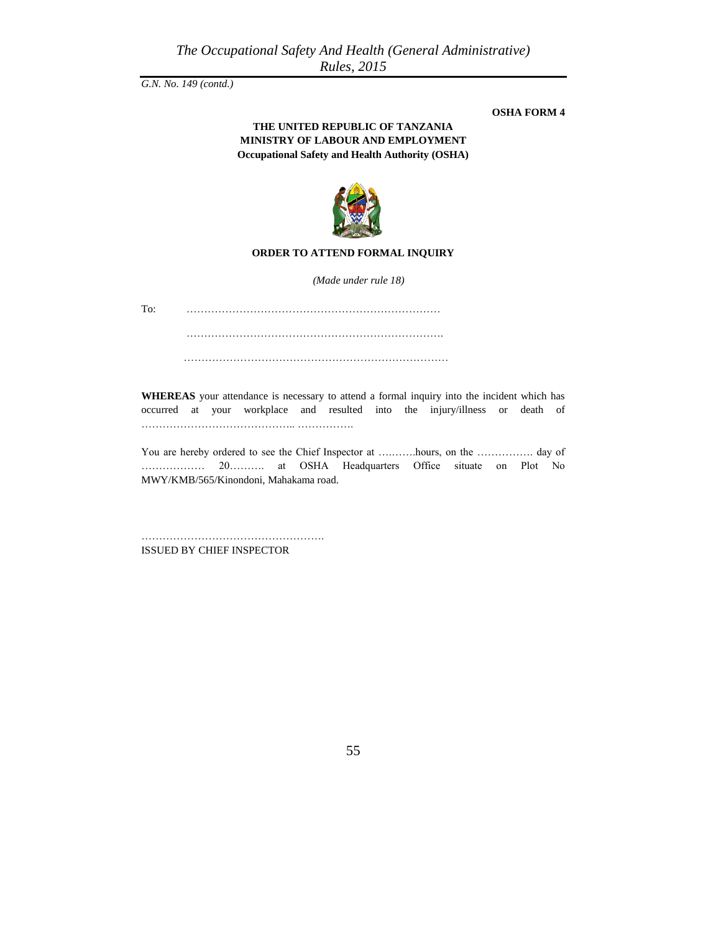#### **OSHA FORM 4**

## **THE UNITED REPUBLIC OF TANZANIA MINISTRY OF LABOUR AND EMPLOYMENT Occupational Safety and Health Authority (OSHA)**



#### **ORDER TO ATTEND FORMAL INQUIRY**

*(Made under rule 18)*

To: ………………………………………………………………

……………………………………………………………….

…………………………………………………………………

**WHEREAS** your attendance is necessary to attend a formal inquiry into the incident which has occurred at your workplace and resulted into the injury/illness or death of …………………………………….. …………….

You are hereby ordered to see the Chief Inspector at ….…….hours, on the ……………. day of ……………… 20………. at OSHA Headquarters Office situate on Plot No MWY/KMB/565/Kinondoni, Mahakama road.

……………………………………………. ISSUED BY CHIEF INSPECTOR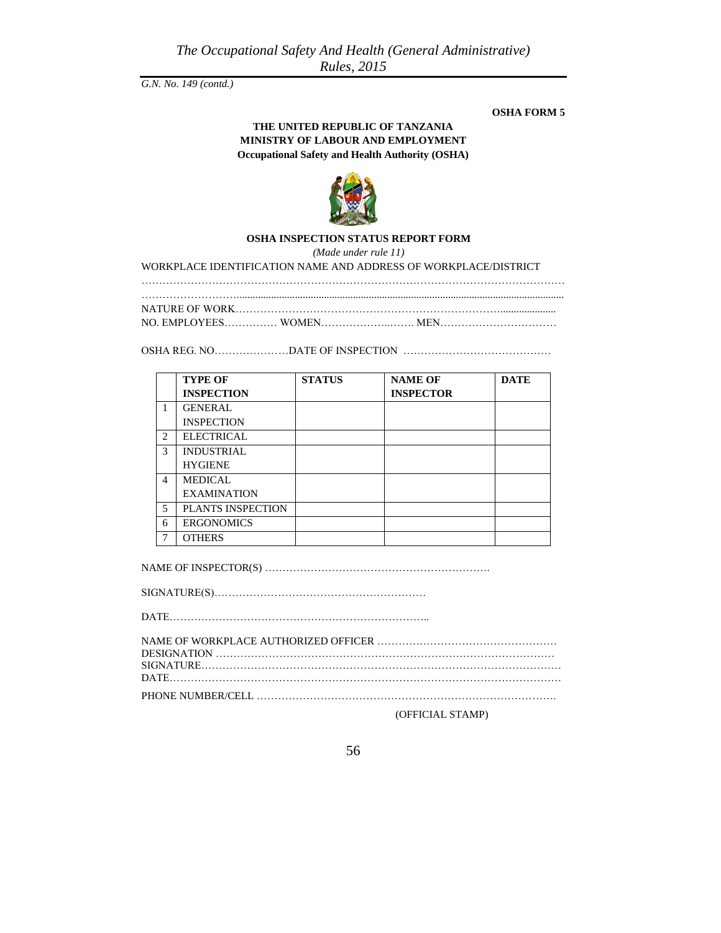#### **OSHA FORM 5**

## **THE UNITED REPUBLIC OF TANZANIA MINISTRY OF LABOUR AND EMPLOYMENT Occupational Safety and Health Authority (OSHA)**



### **OSHA INSPECTION STATUS REPORT FORM**

*(Made under rule 11)*

WORKPLACE IDENTIFICATION NAME AND ADDRESS OF WORKPLACE/DISTRICT

…………………………………………………………………………………………………………

………………………............................................................................................................................ NATURE OF WORK

OSHA REG. NO…………………DATE OF INSPECTION ……………………………………

|                | <b>TYPE OF</b>     | <b>STATUS</b> | <b>NAME OF</b>   | <b>DATE</b> |
|----------------|--------------------|---------------|------------------|-------------|
|                | <b>INSPECTION</b>  |               | <b>INSPECTOR</b> |             |
| 1              | <b>GENERAL</b>     |               |                  |             |
|                | <b>INSPECTION</b>  |               |                  |             |
| $\overline{c}$ | <b>ELECTRICAL</b>  |               |                  |             |
| 3              | <b>INDUSTRIAL</b>  |               |                  |             |
|                | <b>HYGIENE</b>     |               |                  |             |
| 4              | <b>MEDICAL</b>     |               |                  |             |
|                | <b>EXAMINATION</b> |               |                  |             |
| 5              | PLANTS INSPECTION  |               |                  |             |
| 6              | <b>ERGONOMICS</b>  |               |                  |             |
|                | <b>OTHERS</b>      |               |                  |             |

NAME OF INSPECTOR(S) ……………………………………………………….

SIGNATURE(S)……………………………………………………

DATE………………………………………………………………..

(OFFICIAL STAMP)

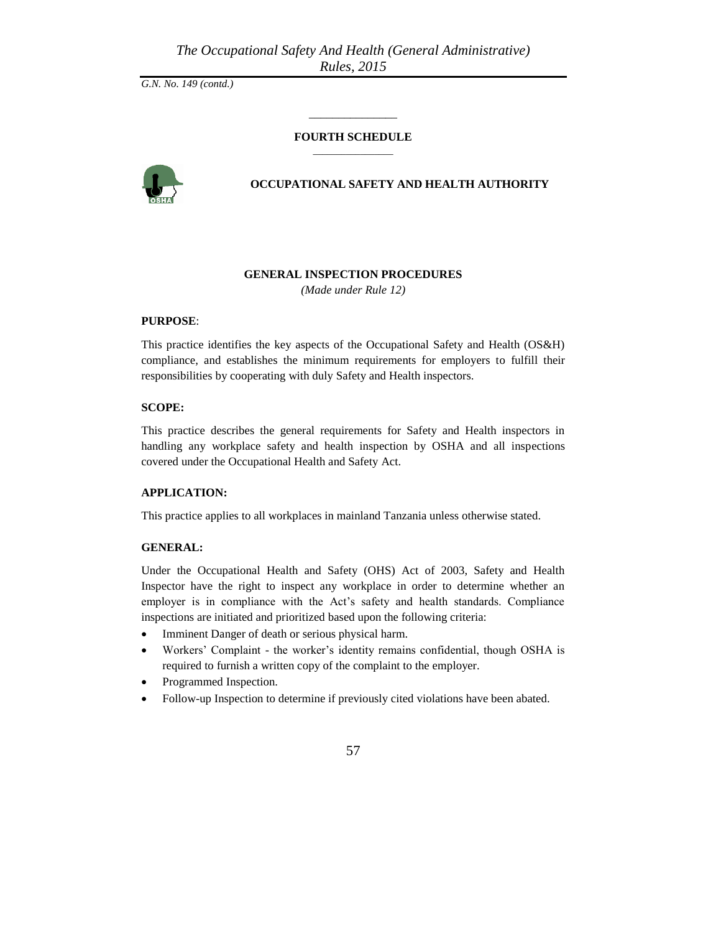# \_\_\_\_\_\_\_\_\_\_\_\_\_\_\_ **FOURTH SCHEDULE**  $\overline{\phantom{a}}$  , where  $\overline{\phantom{a}}$



### **OCCUPATIONAL SAFETY AND HEALTH AUTHORITY**

#### **GENERAL INSPECTION PROCEDURES**

*(Made under Rule 12)*

#### **PURPOSE**:

This practice identifies the key aspects of the Occupational Safety and Health (OS&H) compliance, and establishes the minimum requirements for employers to fulfill their responsibilities by cooperating with duly Safety and Health inspectors.

#### **SCOPE:**

This practice describes the general requirements for Safety and Health inspectors in handling any workplace safety and health inspection by OSHA and all inspections covered under the Occupational Health and Safety Act.

## **APPLICATION:**

This practice applies to all workplaces in mainland Tanzania unless otherwise stated.

#### **GENERAL:**

Under the Occupational Health and Safety (OHS) Act of 2003, Safety and Health Inspector have the right to inspect any workplace in order to determine whether an employer is in compliance with the Act's safety and health standards. Compliance inspections are initiated and prioritized based upon the following criteria:

- Imminent Danger of death or serious physical harm.
- Workers' Complaint the worker's identity remains confidential, though OSHA is required to furnish a written copy of the complaint to the employer.
- Programmed Inspection.
- Follow-up Inspection to determine if previously cited violations have been abated.

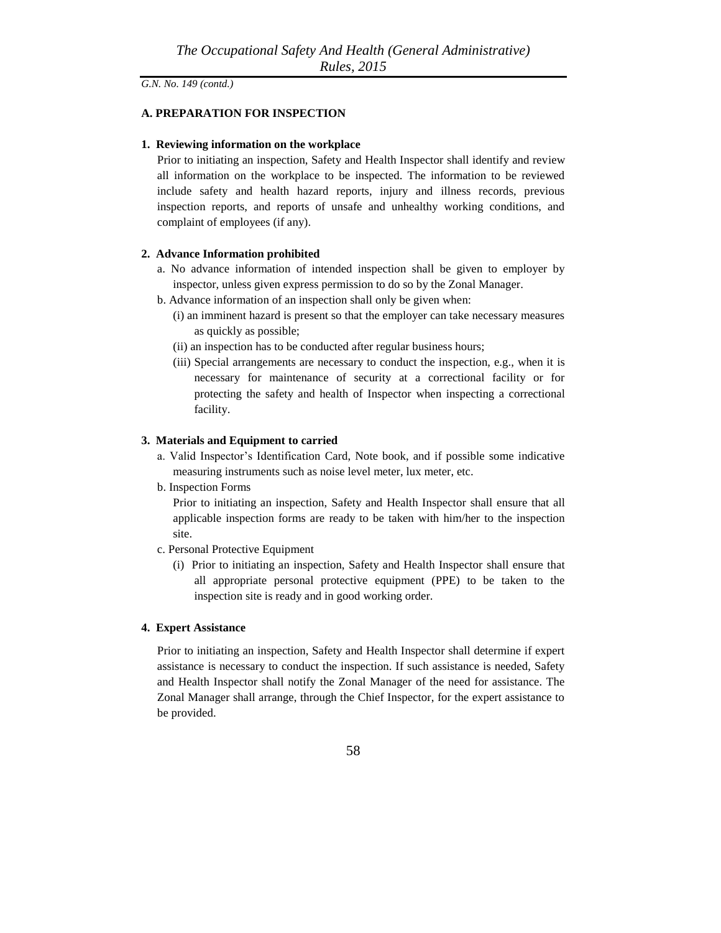## **A. PREPARATION FOR INSPECTION**

#### **1. Reviewing information on the workplace**

Prior to initiating an inspection, Safety and Health Inspector shall identify and review all information on the workplace to be inspected. The information to be reviewed include safety and health hazard reports, injury and illness records, previous inspection reports, and reports of unsafe and unhealthy working conditions, and complaint of employees (if any).

### **2. Advance Information prohibited**

- a. No advance information of intended inspection shall be given to employer by inspector, unless given express permission to do so by the Zonal Manager.
- b. Advance information of an inspection shall only be given when:
	- (i) an imminent hazard is present so that the employer can take necessary measures as quickly as possible;
	- (ii) an inspection has to be conducted after regular business hours;
	- (iii) Special arrangements are necessary to conduct the inspection, e.g., when it is necessary for maintenance of security at a correctional facility or for protecting the safety and health of Inspector when inspecting a correctional facility.

#### **3. Materials and Equipment to carried**

- a. Valid Inspector's Identification Card, Note book, and if possible some indicative measuring instruments such as noise level meter, lux meter, etc.
- b. Inspection Forms

Prior to initiating an inspection, Safety and Health Inspector shall ensure that all applicable inspection forms are ready to be taken with him/her to the inspection site.

- c. Personal Protective Equipment
	- (i) Prior to initiating an inspection, Safety and Health Inspector shall ensure that all appropriate personal protective equipment (PPE) to be taken to the inspection site is ready and in good working order.

## **4. Expert Assistance**

Prior to initiating an inspection, Safety and Health Inspector shall determine if expert assistance is necessary to conduct the inspection. If such assistance is needed, Safety and Health Inspector shall notify the Zonal Manager of the need for assistance. The Zonal Manager shall arrange, through the Chief Inspector, for the expert assistance to be provided.

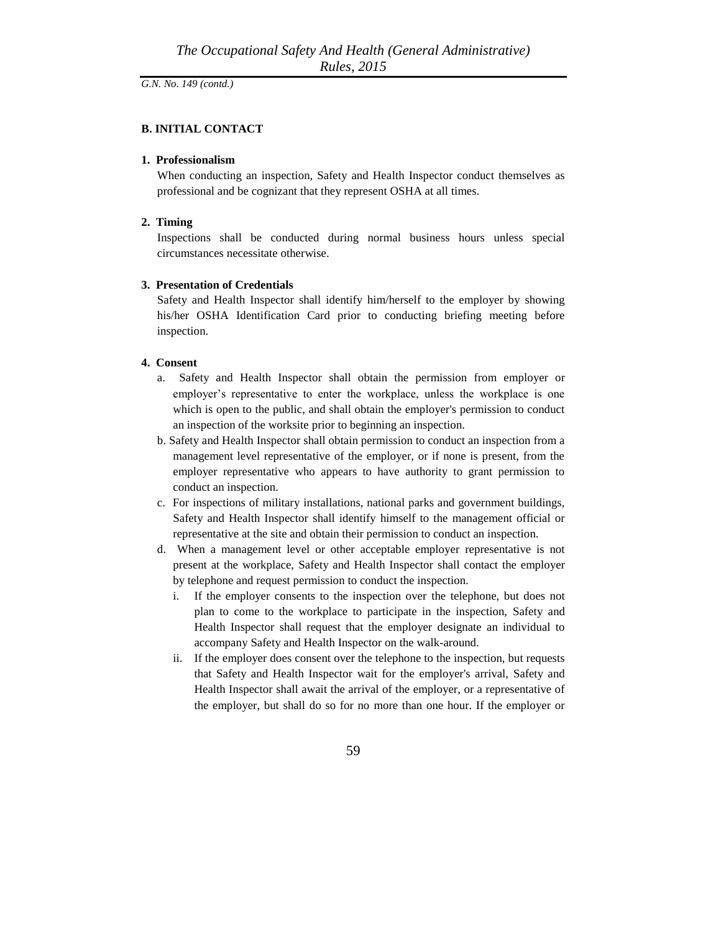### **B. INITIAL CONTACT**

#### **1. Professionalism**

When conducting an inspection, Safety and Health Inspector conduct themselves as professional and be cognizant that they represent OSHA at all times.

#### **2. Timing**

Inspections shall be conducted during normal business hours unless special circumstances necessitate otherwise.

## **3. Presentation of Credentials**

Safety and Health Inspector shall identify him/herself to the employer by showing his/her OSHA Identification Card prior to conducting briefing meeting before inspection.

## **4. Consent**

- a. Safety and Health Inspector shall obtain the permission from employer or employer's representative to enter the workplace, unless the workplace is one which is open to the public, and shall obtain the employer's permission to conduct an inspection of the worksite prior to beginning an inspection.
- b. Safety and Health Inspector shall obtain permission to conduct an inspection from a management level representative of the employer, or if none is present, from the employer representative who appears to have authority to grant permission to conduct an inspection.
- c. For inspections of military installations, national parks and government buildings, Safety and Health Inspector shall identify himself to the management official or representative at the site and obtain their permission to conduct an inspection.
- d. When a management level or other acceptable employer representative is not present at the workplace, Safety and Health Inspector shall contact the employer by telephone and request permission to conduct the inspection.
	- i. If the employer consents to the inspection over the telephone, but does not plan to come to the workplace to participate in the inspection, Safety and Health Inspector shall request that the employer designate an individual to accompany Safety and Health Inspector on the walk-around.
	- ii. If the employer does consent over the telephone to the inspection, but requests that Safety and Health Inspector wait for the employer's arrival, Safety and Health Inspector shall await the arrival of the employer, or a representative of the employer, but shall do so for no more than one hour. If the employer or

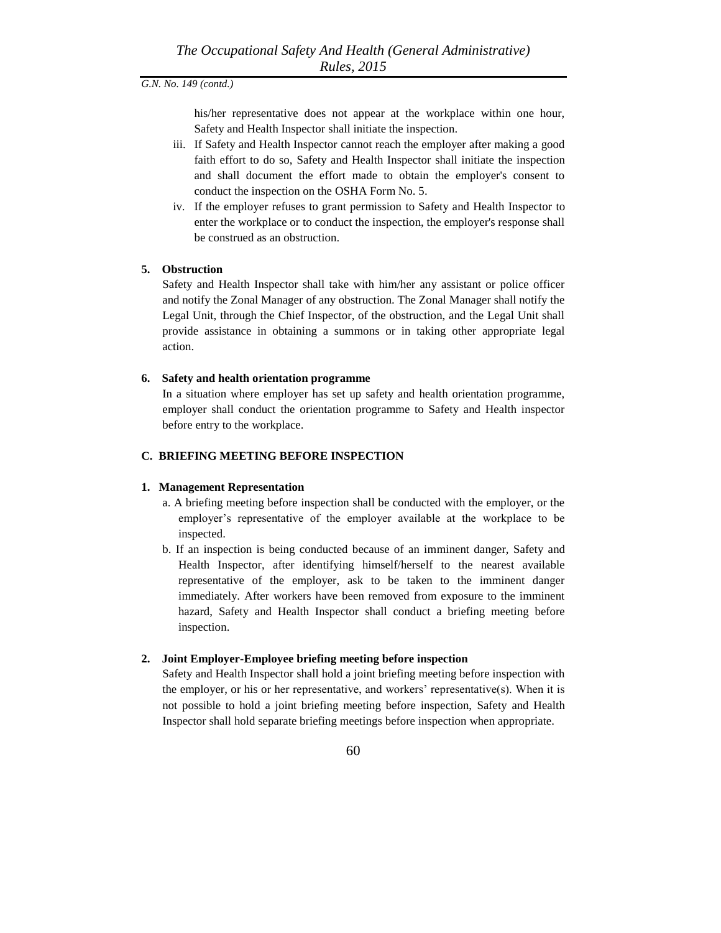his/her representative does not appear at the workplace within one hour, Safety and Health Inspector shall initiate the inspection.

- iii. If Safety and Health Inspector cannot reach the employer after making a good faith effort to do so, Safety and Health Inspector shall initiate the inspection and shall document the effort made to obtain the employer's consent to conduct the inspection on the OSHA Form No. 5.
- iv. If the employer refuses to grant permission to Safety and Health Inspector to enter the workplace or to conduct the inspection, the employer's response shall be construed as an obstruction.

#### **5. Obstruction**

Safety and Health Inspector shall take with him/her any assistant or police officer and notify the Zonal Manager of any obstruction. The Zonal Manager shall notify the Legal Unit, through the Chief Inspector, of the obstruction, and the Legal Unit shall provide assistance in obtaining a summons or in taking other appropriate legal action.

#### **6. Safety and health orientation programme**

In a situation where employer has set up safety and health orientation programme, employer shall conduct the orientation programme to Safety and Health inspector before entry to the workplace.

#### **C. BRIEFING MEETING BEFORE INSPECTION**

#### **1. Management Representation**

- a. A briefing meeting before inspection shall be conducted with the employer, or the employer's representative of the employer available at the workplace to be inspected.
- b. If an inspection is being conducted because of an imminent danger, Safety and Health Inspector, after identifying himself/herself to the nearest available representative of the employer, ask to be taken to the imminent danger immediately. After workers have been removed from exposure to the imminent hazard, Safety and Health Inspector shall conduct a briefing meeting before inspection.

#### **2. Joint Employer-Employee briefing meeting before inspection**

Safety and Health Inspector shall hold a joint briefing meeting before inspection with the employer, or his or her representative, and workers' representative(s). When it is not possible to hold a joint briefing meeting before inspection, Safety and Health Inspector shall hold separate briefing meetings before inspection when appropriate.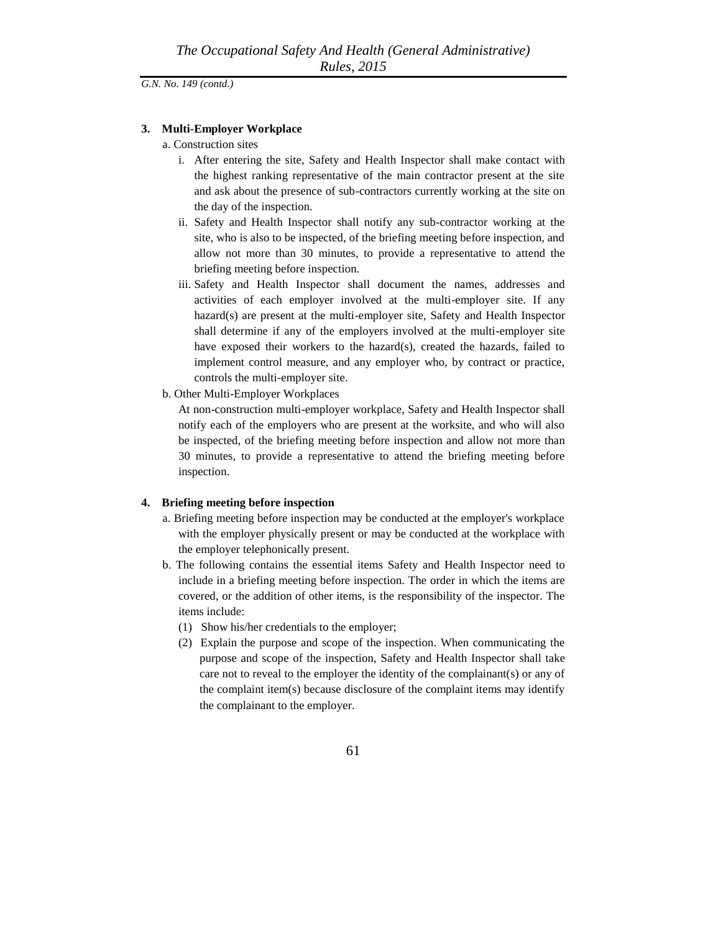#### **3. Multi-Employer Workplace**

- a. Construction sites
	- i. After entering the site, Safety and Health Inspector shall make contact with the highest ranking representative of the main contractor present at the site and ask about the presence of sub-contractors currently working at the site on the day of the inspection.
	- ii. Safety and Health Inspector shall notify any sub-contractor working at the site, who is also to be inspected, of the briefing meeting before inspection, and allow not more than 30 minutes, to provide a representative to attend the briefing meeting before inspection.
	- iii. Safety and Health Inspector shall document the names, addresses and activities of each employer involved at the multi-employer site. If any hazard(s) are present at the multi-employer site, Safety and Health Inspector shall determine if any of the employers involved at the multi-employer site have exposed their workers to the hazard(s), created the hazards, failed to implement control measure, and any employer who, by contract or practice, controls the multi-employer site.
- b. Other Multi-Employer Workplaces

At non-construction multi-employer workplace, Safety and Health Inspector shall notify each of the employers who are present at the worksite, and who will also be inspected, of the briefing meeting before inspection and allow not more than 30 minutes, to provide a representative to attend the briefing meeting before inspection.

#### **4. Briefing meeting before inspection**

- a. Briefing meeting before inspection may be conducted at the employer's workplace with the employer physically present or may be conducted at the workplace with the employer telephonically present.
- b. The following contains the essential items Safety and Health Inspector need to include in a briefing meeting before inspection. The order in which the items are covered, or the addition of other items, is the responsibility of the inspector. The items include:
	- (1) Show his/her credentials to the employer;
	- (2) Explain the purpose and scope of the inspection. When communicating the purpose and scope of the inspection, Safety and Health Inspector shall take care not to reveal to the employer the identity of the complainant(s) or any of the complaint item(s) because disclosure of the complaint items may identify the complainant to the employer.
		- 61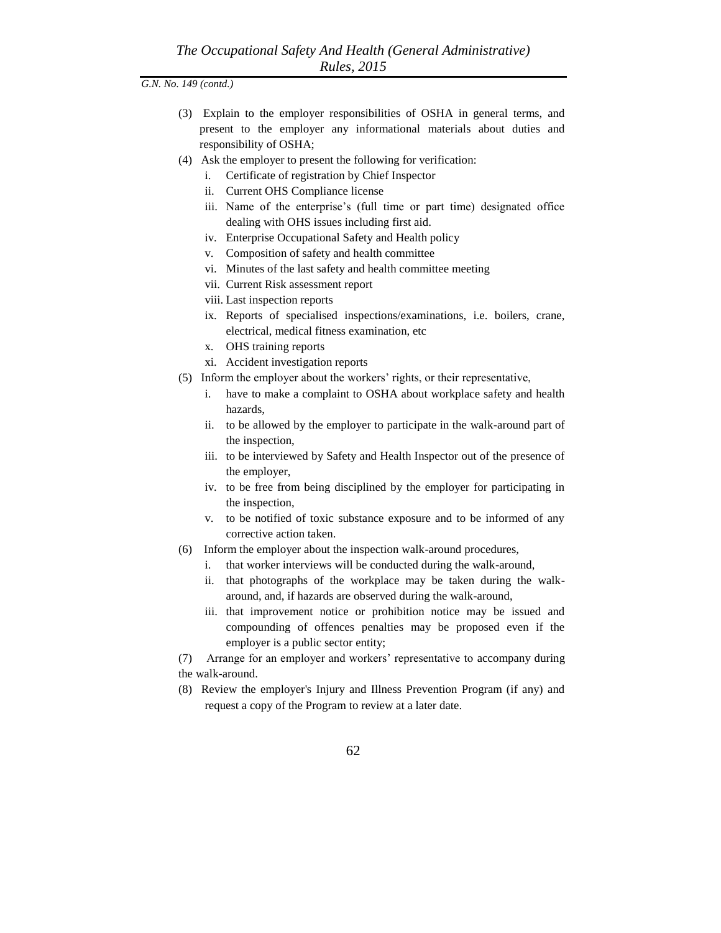- (3) Explain to the employer responsibilities of OSHA in general terms, and present to the employer any informational materials about duties and responsibility of OSHA;
- (4) Ask the employer to present the following for verification:
	- i. Certificate of registration by Chief Inspector
	- ii. Current OHS Compliance license
	- iii. Name of the enterprise's (full time or part time) designated office dealing with OHS issues including first aid.
	- iv. Enterprise Occupational Safety and Health policy
	- v. Composition of safety and health committee
	- vi. Minutes of the last safety and health committee meeting
	- vii. Current Risk assessment report
	- viii. Last inspection reports
	- ix. Reports of specialised inspections/examinations, i.e. boilers, crane, electrical, medical fitness examination, etc
	- x. OHS training reports
	- xi. Accident investigation reports
- (5) Inform the employer about the workers' rights, or their representative,
	- i. have to make a complaint to OSHA about workplace safety and health hazards,
	- ii. to be allowed by the employer to participate in the walk-around part of the inspection,
	- iii. to be interviewed by Safety and Health Inspector out of the presence of the employer,
	- iv. to be free from being disciplined by the employer for participating in the inspection,
	- v. to be notified of toxic substance exposure and to be informed of any corrective action taken.
- (6) Inform the employer about the inspection walk-around procedures,
	- i. that worker interviews will be conducted during the walk-around,
	- ii. that photographs of the workplace may be taken during the walkaround, and, if hazards are observed during the walk-around,
	- iii. that improvement notice or prohibition notice may be issued and compounding of offences penalties may be proposed even if the employer is a public sector entity;

(7) Arrange for an employer and workers' representative to accompany during the walk-around.

- (8) Review the employer's Injury and Illness Prevention Program (if any) and request a copy of the Program to review at a later date.
	- 62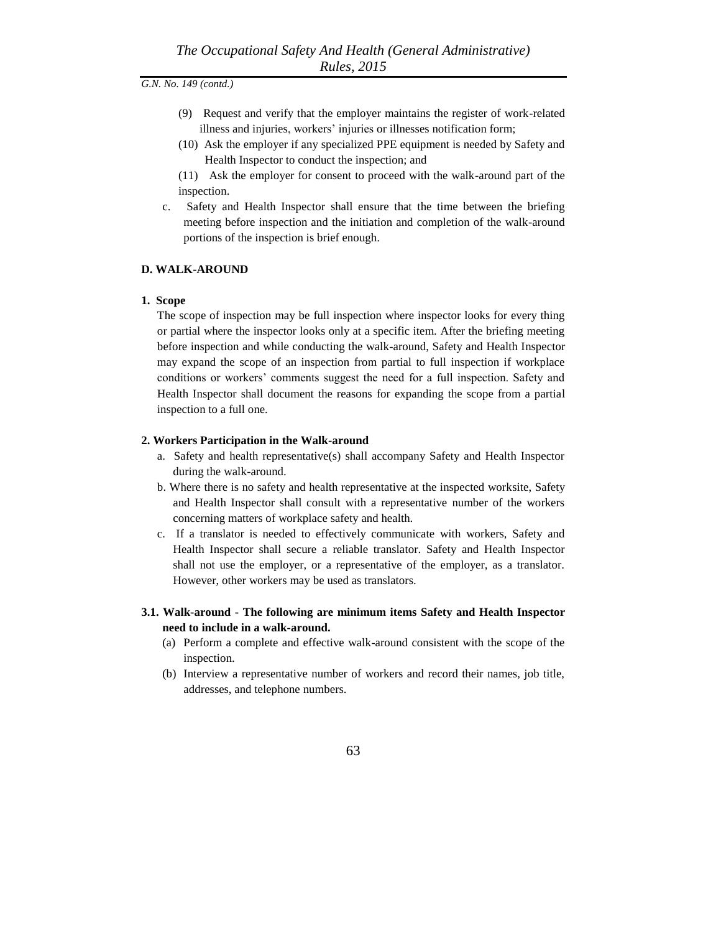- (9) Request and verify that the employer maintains the register of work-related illness and injuries, workers' injuries or illnesses notification form;
- (10) Ask the employer if any specialized PPE equipment is needed by Safety and Health Inspector to conduct the inspection; and

(11) Ask the employer for consent to proceed with the walk-around part of the inspection.

c. Safety and Health Inspector shall ensure that the time between the briefing meeting before inspection and the initiation and completion of the walk-around portions of the inspection is brief enough.

#### **D. WALK-AROUND**

#### **1. Scope**

The scope of inspection may be full inspection where inspector looks for every thing or partial where the inspector looks only at a specific item. After the briefing meeting before inspection and while conducting the walk-around, Safety and Health Inspector may expand the scope of an inspection from partial to full inspection if workplace conditions or workers' comments suggest the need for a full inspection. Safety and Health Inspector shall document the reasons for expanding the scope from a partial inspection to a full one.

#### **2. Workers Participation in the Walk-around**

- a. Safety and health representative(s) shall accompany Safety and Health Inspector during the walk-around.
- b. Where there is no safety and health representative at the inspected worksite, Safety and Health Inspector shall consult with a representative number of the workers concerning matters of workplace safety and health.
- c. If a translator is needed to effectively communicate with workers, Safety and Health Inspector shall secure a reliable translator. Safety and Health Inspector shall not use the employer, or a representative of the employer, as a translator. However, other workers may be used as translators.
- **3.1. Walk-around - The following are minimum items Safety and Health Inspector need to include in a walk-around.** 
	- (a) Perform a complete and effective walk-around consistent with the scope of the inspection.
	- (b) Interview a representative number of workers and record their names, job title, addresses, and telephone numbers.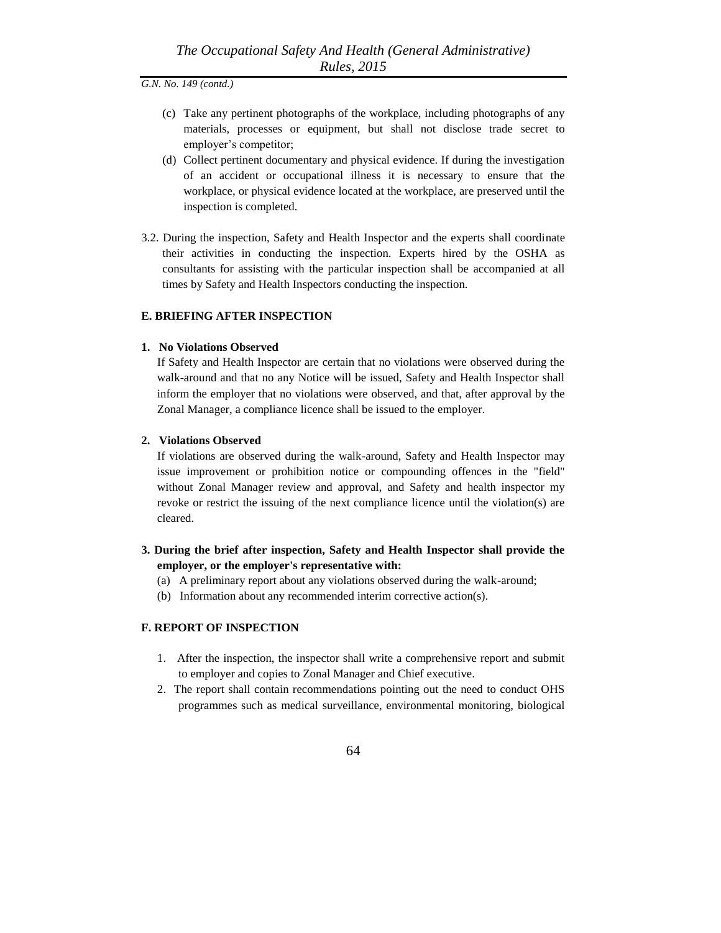- (c) Take any pertinent photographs of the workplace, including photographs of any materials, processes or equipment, but shall not disclose trade secret to employer's competitor;
- (d) Collect pertinent documentary and physical evidence. If during the investigation of an accident or occupational illness it is necessary to ensure that the workplace, or physical evidence located at the workplace, are preserved until the inspection is completed.
- 3.2. During the inspection, Safety and Health Inspector and the experts shall coordinate their activities in conducting the inspection. Experts hired by the OSHA as consultants for assisting with the particular inspection shall be accompanied at all times by Safety and Health Inspectors conducting the inspection.

#### **E. BRIEFING AFTER INSPECTION**

#### **1. No Violations Observed**

If Safety and Health Inspector are certain that no violations were observed during the walk-around and that no any Notice will be issued, Safety and Health Inspector shall inform the employer that no violations were observed, and that, after approval by the Zonal Manager, a compliance licence shall be issued to the employer.

#### **2. Violations Observed**

If violations are observed during the walk-around, Safety and Health Inspector may issue improvement or prohibition notice or compounding offences in the "field" without Zonal Manager review and approval, and Safety and health inspector my revoke or restrict the issuing of the next compliance licence until the violation(s) are cleared.

## **3. During the brief after inspection, Safety and Health Inspector shall provide the employer, or the employer's representative with:**

- (a) A preliminary report about any violations observed during the walk-around;
- (b) Information about any recommended interim corrective action(s).

## **F. REPORT OF INSPECTION**

- 1. After the inspection, the inspector shall write a comprehensive report and submit to employer and copies to Zonal Manager and Chief executive.
- 2. The report shall contain recommendations pointing out the need to conduct OHS programmes such as medical surveillance, environmental monitoring, biological